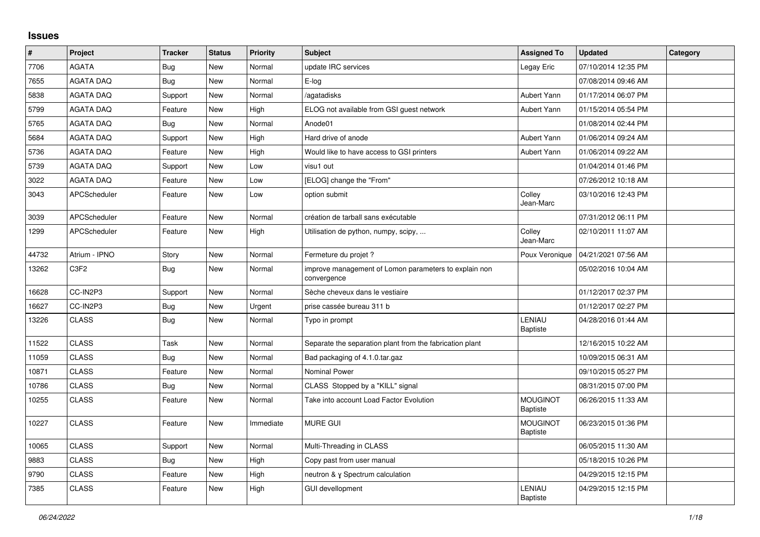## **Issues**

| $\vert$ # | Project             | <b>Tracker</b> | <b>Status</b> | <b>Priority</b> | <b>Subject</b>                                                       | <b>Assigned To</b>                 | <b>Updated</b>      | Category |
|-----------|---------------------|----------------|---------------|-----------------|----------------------------------------------------------------------|------------------------------------|---------------------|----------|
| 7706      | <b>AGATA</b>        | Bug            | New           | Normal          | update IRC services                                                  | Legay Eric                         | 07/10/2014 12:35 PM |          |
| 7655      | <b>AGATA DAQ</b>    | <b>Bug</b>     | <b>New</b>    | Normal          | E-log                                                                |                                    | 07/08/2014 09:46 AM |          |
| 5838      | <b>AGATA DAQ</b>    | Support        | <b>New</b>    | Normal          | agatadisks                                                           | Aubert Yann                        | 01/17/2014 06:07 PM |          |
| 5799      | <b>AGATA DAQ</b>    | Feature        | New           | High            | ELOG not available from GSI guest network                            | Aubert Yann                        | 01/15/2014 05:54 PM |          |
| 5765      | <b>AGATA DAQ</b>    | <b>Bug</b>     | <b>New</b>    | Normal          | Anode01                                                              |                                    | 01/08/2014 02:44 PM |          |
| 5684      | <b>AGATA DAQ</b>    | Support        | <b>New</b>    | High            | Hard drive of anode                                                  | Aubert Yann                        | 01/06/2014 09:24 AM |          |
| 5736      | <b>AGATA DAQ</b>    | Feature        | <b>New</b>    | High            | Would like to have access to GSI printers                            | Aubert Yann                        | 01/06/2014 09:22 AM |          |
| 5739      | <b>AGATA DAQ</b>    | Support        | <b>New</b>    | Low             | visu1 out                                                            |                                    | 01/04/2014 01:46 PM |          |
| 3022      | AGATA DAQ           | Feature        | <b>New</b>    | Low             | [ELOG] change the "From"                                             |                                    | 07/26/2012 10:18 AM |          |
| 3043      | <b>APCScheduler</b> | Feature        | <b>New</b>    | Low             | option submit                                                        | Colley<br>Jean-Marc                | 03/10/2016 12:43 PM |          |
| 3039      | <b>APCScheduler</b> | Feature        | <b>New</b>    | Normal          | création de tarball sans exécutable                                  |                                    | 07/31/2012 06:11 PM |          |
| 1299      | <b>APCScheduler</b> | Feature        | <b>New</b>    | High            | Utilisation de python, numpy, scipy,                                 | Colley<br>Jean-Marc                | 02/10/2011 11:07 AM |          |
| 44732     | Atrium - IPNO       | Story          | New           | Normal          | Fermeture du projet ?                                                | Poux Veronique                     | 04/21/2021 07:56 AM |          |
| 13262     | C3F2                | Bug            | <b>New</b>    | Normal          | improve management of Lomon parameters to explain non<br>convergence |                                    | 05/02/2016 10:04 AM |          |
| 16628     | CC-IN2P3            | Support        | New           | Normal          | Sèche cheveux dans le vestiaire                                      |                                    | 01/12/2017 02:37 PM |          |
| 16627     | CC-IN2P3            | Bug            | <b>New</b>    | Urgent          | prise cassée bureau 311 b                                            |                                    | 01/12/2017 02:27 PM |          |
| 13226     | <b>CLASS</b>        | Bug            | <b>New</b>    | Normal          | Typo in prompt                                                       | LENIAU<br>Baptiste                 | 04/28/2016 01:44 AM |          |
| 11522     | <b>CLASS</b>        | Task           | <b>New</b>    | Normal          | Separate the separation plant from the fabrication plant             |                                    | 12/16/2015 10:22 AM |          |
| 11059     | <b>CLASS</b>        | Bug            | <b>New</b>    | Normal          | Bad packaging of 4.1.0.tar.gaz                                       |                                    | 10/09/2015 06:31 AM |          |
| 10871     | <b>CLASS</b>        | Feature        | New           | Normal          | Nominal Power                                                        |                                    | 09/10/2015 05:27 PM |          |
| 10786     | <b>CLASS</b>        | Bug            | New           | Normal          | CLASS Stopped by a "KILL" signal                                     |                                    | 08/31/2015 07:00 PM |          |
| 10255     | <b>CLASS</b>        | Feature        | <b>New</b>    | Normal          | Take into account Load Factor Evolution                              | <b>MOUGINOT</b><br><b>Baptiste</b> | 06/26/2015 11:33 AM |          |
| 10227     | <b>CLASS</b>        | Feature        | <b>New</b>    | Immediate       | <b>MURE GUI</b>                                                      | <b>MOUGINOT</b><br>Baptiste        | 06/23/2015 01:36 PM |          |
| 10065     | <b>CLASS</b>        | Support        | New           | Normal          | Multi-Threading in CLASS                                             |                                    | 06/05/2015 11:30 AM |          |
| 9883      | <b>CLASS</b>        | <b>Bug</b>     | <b>New</b>    | High            | Copy past from user manual                                           |                                    | 05/18/2015 10:26 PM |          |
| 9790      | <b>CLASS</b>        | Feature        | <b>New</b>    | High            | neutron & y Spectrum calculation                                     |                                    | 04/29/2015 12:15 PM |          |
| 7385      | <b>CLASS</b>        | Feature        | New           | High            | <b>GUI devellopment</b>                                              | LENIAU<br><b>Baptiste</b>          | 04/29/2015 12:15 PM |          |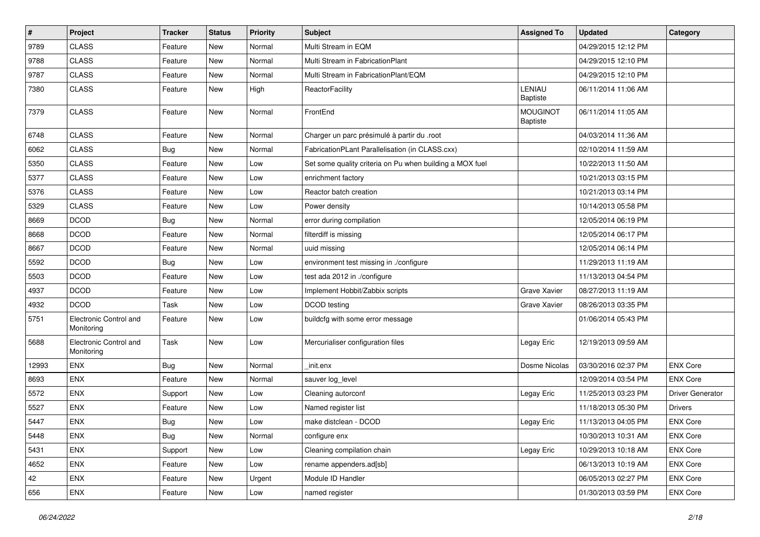| #     | Project                              | <b>Tracker</b> | <b>Status</b> | <b>Priority</b> | <b>Subject</b>                                           | <b>Assigned To</b>          | <b>Updated</b>      | Category                |
|-------|--------------------------------------|----------------|---------------|-----------------|----------------------------------------------------------|-----------------------------|---------------------|-------------------------|
| 9789  | <b>CLASS</b>                         | Feature        | <b>New</b>    | Normal          | Multi Stream in EQM                                      |                             | 04/29/2015 12:12 PM |                         |
| 9788  | <b>CLASS</b>                         | Feature        | New           | Normal          | Multi Stream in FabricationPlant                         |                             | 04/29/2015 12:10 PM |                         |
| 9787  | <b>CLASS</b>                         | Feature        | <b>New</b>    | Normal          | Multi Stream in FabricationPlant/EQM                     |                             | 04/29/2015 12:10 PM |                         |
| 7380  | <b>CLASS</b>                         | Feature        | New           | High            | ReactorFacility                                          | LENIAU<br>Baptiste          | 06/11/2014 11:06 AM |                         |
| 7379  | <b>CLASS</b>                         | Feature        | <b>New</b>    | Normal          | FrontEnd                                                 | <b>MOUGINOT</b><br>Baptiste | 06/11/2014 11:05 AM |                         |
| 6748  | <b>CLASS</b>                         | Feature        | New           | Normal          | Charger un parc présimulé à partir du .root              |                             | 04/03/2014 11:36 AM |                         |
| 6062  | <b>CLASS</b>                         | <b>Bug</b>     | <b>New</b>    | Normal          | FabricationPLant Parallelisation (in CLASS.cxx)          |                             | 02/10/2014 11:59 AM |                         |
| 5350  | <b>CLASS</b>                         | Feature        | New           | Low             | Set some quality criteria on Pu when building a MOX fuel |                             | 10/22/2013 11:50 AM |                         |
| 5377  | CLASS                                | Feature        | <b>New</b>    | Low             | enrichment factory                                       |                             | 10/21/2013 03:15 PM |                         |
| 5376  | <b>CLASS</b>                         | Feature        | <b>New</b>    | Low             | Reactor batch creation                                   |                             | 10/21/2013 03:14 PM |                         |
| 5329  | <b>CLASS</b>                         | Feature        | <b>New</b>    | Low             | Power density                                            |                             | 10/14/2013 05:58 PM |                         |
| 8669  | <b>DCOD</b>                          | Bug            | <b>New</b>    | Normal          | error during compilation                                 |                             | 12/05/2014 06:19 PM |                         |
| 8668  | <b>DCOD</b>                          | Feature        | <b>New</b>    | Normal          | filterdiff is missing                                    |                             | 12/05/2014 06:17 PM |                         |
| 8667  | <b>DCOD</b>                          | Feature        | <b>New</b>    | Normal          | uuid missing                                             |                             | 12/05/2014 06:14 PM |                         |
| 5592  | <b>DCOD</b>                          | Bug            | <b>New</b>    | Low             | environment test missing in ./configure                  |                             | 11/29/2013 11:19 AM |                         |
| 5503  | <b>DCOD</b>                          | Feature        | <b>New</b>    | Low             | test ada 2012 in ./configure                             |                             | 11/13/2013 04:54 PM |                         |
| 4937  | <b>DCOD</b>                          | Feature        | <b>New</b>    | Low             | Implement Hobbit/Zabbix scripts                          | Grave Xavier                | 08/27/2013 11:19 AM |                         |
| 4932  | <b>DCOD</b>                          | Task           | <b>New</b>    | Low             | DCOD testing                                             | Grave Xavier                | 08/26/2013 03:35 PM |                         |
| 5751  | Electronic Control and<br>Monitoring | Feature        | New           | Low             | buildcfg with some error message                         |                             | 01/06/2014 05:43 PM |                         |
| 5688  | Electronic Control and<br>Monitoring | Task           | <b>New</b>    | Low             | Mercurialiser configuration files                        | Legay Eric                  | 12/19/2013 09:59 AM |                         |
| 12993 | <b>ENX</b>                           | Bug            | <b>New</b>    | Normal          | init.enx                                                 | Dosme Nicolas               | 03/30/2016 02:37 PM | <b>ENX Core</b>         |
| 8693  | <b>ENX</b>                           | Feature        | <b>New</b>    | Normal          | sauver log_level                                         |                             | 12/09/2014 03:54 PM | <b>ENX Core</b>         |
| 5572  | <b>ENX</b>                           | Support        | <b>New</b>    | Low             | Cleaning autorconf                                       | Legay Eric                  | 11/25/2013 03:23 PM | <b>Driver Generator</b> |
| 5527  | <b>ENX</b>                           | Feature        | <b>New</b>    | Low             | Named register list                                      |                             | 11/18/2013 05:30 PM | <b>Drivers</b>          |
| 5447  | ENX                                  | Bug            | <b>New</b>    | Low             | make distclean - DCOD                                    | Legay Eric                  | 11/13/2013 04:05 PM | <b>ENX Core</b>         |
| 5448  | ENX                                  | <b>Bug</b>     | New           | Normal          | configure enx                                            |                             | 10/30/2013 10:31 AM | ENX Core                |
| 5431  | ENX                                  | Support        | New           | Low             | Cleaning compilation chain                               | Legay Eric                  | 10/29/2013 10:18 AM | ENX Core                |
| 4652  | ENX                                  | Feature        | New           | Low             | rename appenders.ad[sb]                                  |                             | 06/13/2013 10:19 AM | <b>ENX Core</b>         |
| 42    | <b>ENX</b>                           | Feature        | New           | Urgent          | Module ID Handler                                        |                             | 06/05/2013 02:27 PM | ENX Core                |
| 656   | ENX                                  | Feature        | New           | Low             | named register                                           |                             | 01/30/2013 03:59 PM | <b>ENX Core</b>         |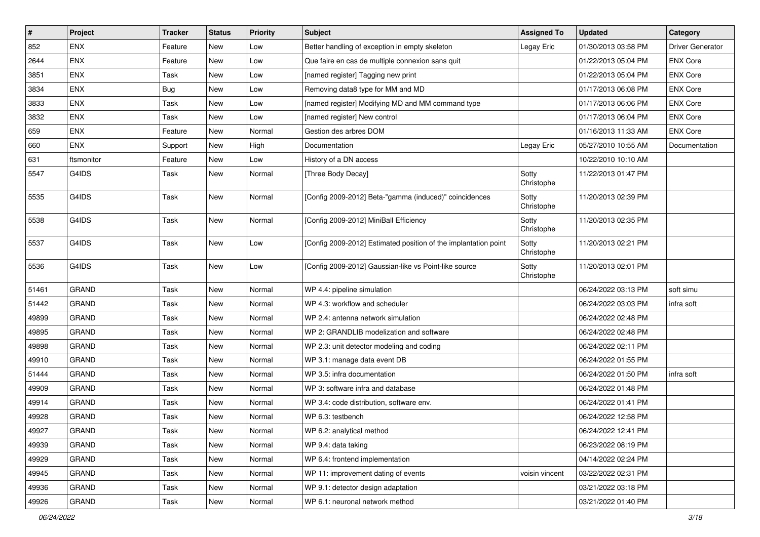| $\sharp$ | Project      | <b>Tracker</b> | <b>Status</b> | <b>Priority</b> | <b>Subject</b>                                                  | <b>Assigned To</b>  | <b>Updated</b>      | Category                |
|----------|--------------|----------------|---------------|-----------------|-----------------------------------------------------------------|---------------------|---------------------|-------------------------|
| 852      | <b>ENX</b>   | Feature        | New           | Low             | Better handling of exception in empty skeleton                  | Legay Eric          | 01/30/2013 03:58 PM | <b>Driver Generator</b> |
| 2644     | ENX          | Feature        | New           | Low             | Que faire en cas de multiple connexion sans quit                |                     | 01/22/2013 05:04 PM | <b>ENX Core</b>         |
| 3851     | <b>ENX</b>   | Task           | New           | Low             | [named register] Tagging new print                              |                     | 01/22/2013 05:04 PM | <b>ENX Core</b>         |
| 3834     | ENX          | Bug            | New           | Low             | Removing data8 type for MM and MD                               |                     | 01/17/2013 06:08 PM | <b>ENX Core</b>         |
| 3833     | <b>ENX</b>   | Task           | New           | Low             | [named register] Modifying MD and MM command type               |                     | 01/17/2013 06:06 PM | <b>ENX Core</b>         |
| 3832     | ENX          | Task           | New           | Low             | [named register] New control                                    |                     | 01/17/2013 06:04 PM | <b>ENX Core</b>         |
| 659      | <b>ENX</b>   | Feature        | New           | Normal          | Gestion des arbres DOM                                          |                     | 01/16/2013 11:33 AM | <b>ENX Core</b>         |
| 660      | <b>ENX</b>   | Support        | New           | High            | Documentation                                                   | Legay Eric          | 05/27/2010 10:55 AM | Documentation           |
| 631      | ftsmonitor   | Feature        | New           | Low             | History of a DN access                                          |                     | 10/22/2010 10:10 AM |                         |
| 5547     | G4IDS        | <b>Task</b>    | New           | Normal          | [Three Body Decay]                                              | Sotty<br>Christophe | 11/22/2013 01:47 PM |                         |
| 5535     | G4IDS        | Task           | New           | Normal          | [Config 2009-2012] Beta-"gamma (induced)" coincidences          | Sotty<br>Christophe | 11/20/2013 02:39 PM |                         |
| 5538     | G4IDS        | Task           | New           | Normal          | [Config 2009-2012] MiniBall Efficiency                          | Sotty<br>Christophe | 11/20/2013 02:35 PM |                         |
| 5537     | G4IDS        | Task           | New           | Low             | [Config 2009-2012] Estimated position of the implantation point | Sotty<br>Christophe | 11/20/2013 02:21 PM |                         |
| 5536     | G4IDS        | <b>Task</b>    | New           | Low             | [Config 2009-2012] Gaussian-like vs Point-like source           | Sotty<br>Christophe | 11/20/2013 02:01 PM |                         |
| 51461    | <b>GRAND</b> | Task           | New           | Normal          | WP 4.4: pipeline simulation                                     |                     | 06/24/2022 03:13 PM | soft simu               |
| 51442    | <b>GRAND</b> | Task           | New           | Normal          | WP 4.3: workflow and scheduler                                  |                     | 06/24/2022 03:03 PM | infra soft              |
| 49899    | <b>GRAND</b> | Task           | New           | Normal          | WP 2.4: antenna network simulation                              |                     | 06/24/2022 02:48 PM |                         |
| 49895    | <b>GRAND</b> | Task           | New           | Normal          | WP 2: GRANDLIB modelization and software                        |                     | 06/24/2022 02:48 PM |                         |
| 49898    | <b>GRAND</b> | Task           | New           | Normal          | WP 2.3: unit detector modeling and coding                       |                     | 06/24/2022 02:11 PM |                         |
| 49910    | <b>GRAND</b> | Task           | New           | Normal          | WP 3.1: manage data event DB                                    |                     | 06/24/2022 01:55 PM |                         |
| 51444    | <b>GRAND</b> | Task           | New           | Normal          | WP 3.5: infra documentation                                     |                     | 06/24/2022 01:50 PM | infra soft              |
| 49909    | <b>GRAND</b> | Task           | New           | Normal          | WP 3: software infra and database                               |                     | 06/24/2022 01:48 PM |                         |
| 49914    | <b>GRAND</b> | <b>Task</b>    | New           | Normal          | WP 3.4: code distribution, software env.                        |                     | 06/24/2022 01:41 PM |                         |
| 49928    | <b>GRAND</b> | Task           | New           | Normal          | WP 6.3: testbench                                               |                     | 06/24/2022 12:58 PM |                         |
| 49927    | <b>GRAND</b> | Task           | New           | Normal          | WP 6.2: analytical method                                       |                     | 06/24/2022 12:41 PM |                         |
| 49939    | GRAND        | Task           | New           | Normal          | WP 9.4: data taking                                             |                     | 06/23/2022 08:19 PM |                         |
| 49929    | GRAND        | Task           | New           | Normal          | WP 6.4: frontend implementation                                 |                     | 04/14/2022 02:24 PM |                         |
| 49945    | <b>GRAND</b> | Task           | New           | Normal          | WP 11: improvement dating of events                             | voisin vincent      | 03/22/2022 02:31 PM |                         |
| 49936    | GRAND        | Task           | New           | Normal          | WP 9.1: detector design adaptation                              |                     | 03/21/2022 03:18 PM |                         |
| 49926    | GRAND        | Task           | New           | Normal          | WP 6.1: neuronal network method                                 |                     | 03/21/2022 01:40 PM |                         |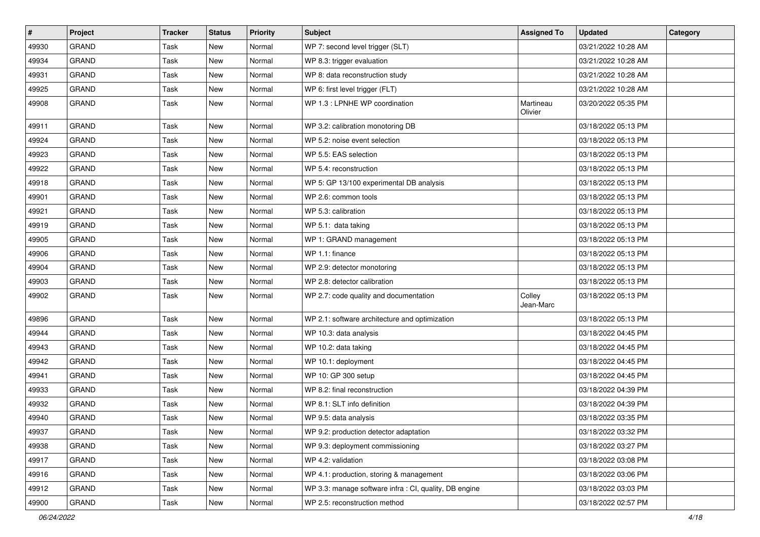| #     | Project      | <b>Tracker</b> | <b>Status</b> | <b>Priority</b> | <b>Subject</b>                                         | <b>Assigned To</b>   | <b>Updated</b>      | Category |
|-------|--------------|----------------|---------------|-----------------|--------------------------------------------------------|----------------------|---------------------|----------|
| 49930 | <b>GRAND</b> | Task           | <b>New</b>    | Normal          | WP 7: second level trigger (SLT)                       |                      | 03/21/2022 10:28 AM |          |
| 49934 | <b>GRAND</b> | Task           | New           | Normal          | WP 8.3: trigger evaluation                             |                      | 03/21/2022 10:28 AM |          |
| 49931 | <b>GRAND</b> | Task           | New           | Normal          | WP 8: data reconstruction study                        |                      | 03/21/2022 10:28 AM |          |
| 49925 | <b>GRAND</b> | Task           | New           | Normal          | WP 6: first level trigger (FLT)                        |                      | 03/21/2022 10:28 AM |          |
| 49908 | <b>GRAND</b> | Task           | New           | Normal          | WP 1.3 : LPNHE WP coordination                         | Martineau<br>Olivier | 03/20/2022 05:35 PM |          |
| 49911 | GRAND        | Task           | New           | Normal          | WP 3.2: calibration monotoring DB                      |                      | 03/18/2022 05:13 PM |          |
| 49924 | <b>GRAND</b> | Task           | New           | Normal          | WP 5.2: noise event selection                          |                      | 03/18/2022 05:13 PM |          |
| 49923 | <b>GRAND</b> | Task           | New           | Normal          | WP 5.5: EAS selection                                  |                      | 03/18/2022 05:13 PM |          |
| 49922 | GRAND        | Task           | New           | Normal          | WP 5.4: reconstruction                                 |                      | 03/18/2022 05:13 PM |          |
| 49918 | GRAND        | Task           | New           | Normal          | WP 5: GP 13/100 experimental DB analysis               |                      | 03/18/2022 05:13 PM |          |
| 49901 | <b>GRAND</b> | Task           | <b>New</b>    | Normal          | WP 2.6: common tools                                   |                      | 03/18/2022 05:13 PM |          |
| 49921 | <b>GRAND</b> | Task           | New           | Normal          | WP 5.3: calibration                                    |                      | 03/18/2022 05:13 PM |          |
| 49919 | <b>GRAND</b> | Task           | <b>New</b>    | Normal          | WP 5.1: data taking                                    |                      | 03/18/2022 05:13 PM |          |
| 49905 | GRAND        | Task           | New           | Normal          | WP 1: GRAND management                                 |                      | 03/18/2022 05:13 PM |          |
| 49906 | <b>GRAND</b> | Task           | <b>New</b>    | Normal          | WP 1.1: finance                                        |                      | 03/18/2022 05:13 PM |          |
| 49904 | <b>GRAND</b> | Task           | New           | Normal          | WP 2.9: detector monotoring                            |                      | 03/18/2022 05:13 PM |          |
| 49903 | <b>GRAND</b> | Task           | New           | Normal          | WP 2.8: detector calibration                           |                      | 03/18/2022 05:13 PM |          |
| 49902 | <b>GRAND</b> | Task           | <b>New</b>    | Normal          | WP 2.7: code quality and documentation                 | Colley<br>Jean-Marc  | 03/18/2022 05:13 PM |          |
| 49896 | GRAND        | Task           | New           | Normal          | WP 2.1: software architecture and optimization         |                      | 03/18/2022 05:13 PM |          |
| 49944 | <b>GRAND</b> | Task           | <b>New</b>    | Normal          | WP 10.3: data analysis                                 |                      | 03/18/2022 04:45 PM |          |
| 49943 | GRAND        | Task           | New           | Normal          | WP 10.2: data taking                                   |                      | 03/18/2022 04:45 PM |          |
| 49942 | GRAND        | Task           | New           | Normal          | WP 10.1: deployment                                    |                      | 03/18/2022 04:45 PM |          |
| 49941 | <b>GRAND</b> | Task           | <b>New</b>    | Normal          | WP 10: GP 300 setup                                    |                      | 03/18/2022 04:45 PM |          |
| 49933 | <b>GRAND</b> | Task           | New           | Normal          | WP 8.2: final reconstruction                           |                      | 03/18/2022 04:39 PM |          |
| 49932 | GRAND        | Task           | <b>New</b>    | Normal          | WP 8.1: SLT info definition                            |                      | 03/18/2022 04:39 PM |          |
| 49940 | <b>GRAND</b> | Task           | New           | Normal          | WP 9.5: data analysis                                  |                      | 03/18/2022 03:35 PM |          |
| 49937 | <b>GRAND</b> | Task           | New           | Normal          | WP 9.2: production detector adaptation                 |                      | 03/18/2022 03:32 PM |          |
| 49938 | <b>GRAND</b> | Task           | New           | Normal          | WP 9.3: deployment commissioning                       |                      | 03/18/2022 03:27 PM |          |
| 49917 | <b>GRAND</b> | Task           | New           | Normal          | WP 4.2: validation                                     |                      | 03/18/2022 03:08 PM |          |
| 49916 | GRAND        | Task           | New           | Normal          | WP 4.1: production, storing & management               |                      | 03/18/2022 03:06 PM |          |
| 49912 | GRAND        | Task           | New           | Normal          | WP 3.3: manage software infra : CI, quality, DB engine |                      | 03/18/2022 03:03 PM |          |
| 49900 | GRAND        | Task           | New           | Normal          | WP 2.5: reconstruction method                          |                      | 03/18/2022 02:57 PM |          |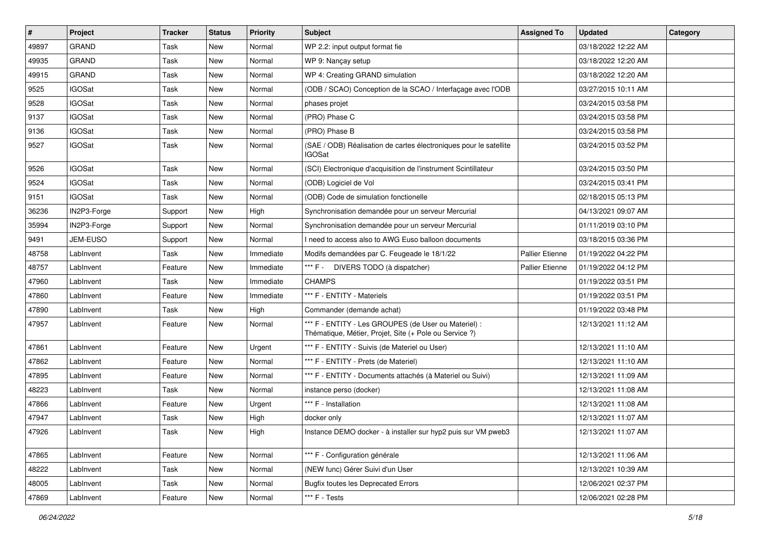| $\sharp$ | Project         | <b>Tracker</b> | <b>Status</b> | <b>Priority</b> | <b>Subject</b>                                                                                                 | <b>Assigned To</b>     | <b>Updated</b>      | Category |
|----------|-----------------|----------------|---------------|-----------------|----------------------------------------------------------------------------------------------------------------|------------------------|---------------------|----------|
| 49897    | <b>GRAND</b>    | Task           | New           | Normal          | WP 2.2: input output format fie                                                                                |                        | 03/18/2022 12:22 AM |          |
| 49935    | <b>GRAND</b>    | Task           | <b>New</b>    | Normal          | WP 9: Nançay setup                                                                                             |                        | 03/18/2022 12:20 AM |          |
| 49915    | <b>GRAND</b>    | Task           | <b>New</b>    | Normal          | WP 4: Creating GRAND simulation                                                                                |                        | 03/18/2022 12:20 AM |          |
| 9525     | <b>IGOSat</b>   | Task           | New           | Normal          | (ODB / SCAO) Conception de la SCAO / Interfaçage avec l'ODB                                                    |                        | 03/27/2015 10:11 AM |          |
| 9528     | <b>IGOSat</b>   | Task           | <b>New</b>    | Normal          | phases projet                                                                                                  |                        | 03/24/2015 03:58 PM |          |
| 9137     | <b>IGOSat</b>   | Task           | <b>New</b>    | Normal          | (PRO) Phase C                                                                                                  |                        | 03/24/2015 03:58 PM |          |
| 9136     | <b>IGOSat</b>   | Task           | <b>New</b>    | Normal          | (PRO) Phase B                                                                                                  |                        | 03/24/2015 03:58 PM |          |
| 9527     | <b>IGOSat</b>   | Task           | New           | Normal          | (SAE / ODB) Réalisation de cartes électroniques pour le satellite<br>IGOSat                                    |                        | 03/24/2015 03:52 PM |          |
| 9526     | <b>IGOSat</b>   | Task           | <b>New</b>    | Normal          | (SCI) Electronique d'acquisition de l'instrument Scintillateur                                                 |                        | 03/24/2015 03:50 PM |          |
| 9524     | <b>IGOSat</b>   | Task           | <b>New</b>    | Normal          | (ODB) Logiciel de Vol                                                                                          |                        | 03/24/2015 03:41 PM |          |
| 9151     | <b>IGOSat</b>   | Task           | <b>New</b>    | Normal          | (ODB) Code de simulation fonctionelle                                                                          |                        | 02/18/2015 05:13 PM |          |
| 36236    | IN2P3-Forge     | Support        | <b>New</b>    | High            | Synchronisation demandée pour un serveur Mercurial                                                             |                        | 04/13/2021 09:07 AM |          |
| 35994    | IN2P3-Forge     | Support        | <b>New</b>    | Normal          | Synchronisation demandée pour un serveur Mercurial                                                             |                        | 01/11/2019 03:10 PM |          |
| 9491     | <b>JEM-EUSO</b> | Support        | New           | Normal          | I need to access also to AWG Euso balloon documents                                                            |                        | 03/18/2015 03:36 PM |          |
| 48758    | LabInvent       | Task           | New           | Immediate       | Modifs demandées par C. Feugeade le 18/1/22                                                                    | <b>Pallier Etienne</b> | 01/19/2022 04:22 PM |          |
| 48757    | LabInvent       | Feature        | New           | Immediate       | *** F - DIVERS TODO (à dispatcher)                                                                             | <b>Pallier Etienne</b> | 01/19/2022 04:12 PM |          |
| 47960    | LabInvent       | Task           | <b>New</b>    | Immediate       | <b>CHAMPS</b>                                                                                                  |                        | 01/19/2022 03:51 PM |          |
| 47860    | LabInvent       | Feature        | <b>New</b>    | Immediate       | *** F - ENTITY - Materiels                                                                                     |                        | 01/19/2022 03:51 PM |          |
| 47890    | LabInvent       | Task           | <b>New</b>    | High            | Commander (demande achat)                                                                                      |                        | 01/19/2022 03:48 PM |          |
| 47957    | LabInvent       | Feature        | New           | Normal          | *** F - ENTITY - Les GROUPES (de User ou Materiel) :<br>Thématique, Métier, Projet, Site (+ Pole ou Service ?) |                        | 12/13/2021 11:12 AM |          |
| 47861    | LabInvent       | Feature        | <b>New</b>    | Urgent          | *** F - ENTITY - Suivis (de Materiel ou User)                                                                  |                        | 12/13/2021 11:10 AM |          |
| 47862    | LabInvent       | Feature        | New           | Normal          | *** F - ENTITY - Prets (de Materiel)                                                                           |                        | 12/13/2021 11:10 AM |          |
| 47895    | LabInvent       | Feature        | New           | Normal          | *** F - ENTITY - Documents attachés (à Materiel ou Suivi)                                                      |                        | 12/13/2021 11:09 AM |          |
| 48223    | LabInvent       | Task           | <b>New</b>    | Normal          | instance perso (docker)                                                                                        |                        | 12/13/2021 11:08 AM |          |
| 47866    | LabInvent       | Feature        | <b>New</b>    | Urgent          | *** F - Installation                                                                                           |                        | 12/13/2021 11:08 AM |          |
| 47947    | LabInvent       | Task           | <b>New</b>    | High            | docker only                                                                                                    |                        | 12/13/2021 11:07 AM |          |
| 47926    | LabInvent       | Task           | New           | High            | Instance DEMO docker - à installer sur hyp2 puis sur VM pweb3                                                  |                        | 12/13/2021 11:07 AM |          |
| 47865    | LabInvent       | Feature        | New           | Normal          | *** F - Configuration générale                                                                                 |                        | 12/13/2021 11:06 AM |          |
| 48222    | LabInvent       | Task           | New           | Normal          | (NEW func) Gérer Suivi d'un User                                                                               |                        | 12/13/2021 10:39 AM |          |
| 48005    | LabInvent       | Task           | New           | Normal          | <b>Bugfix toutes les Deprecated Errors</b>                                                                     |                        | 12/06/2021 02:37 PM |          |
| 47869    | LabInvent       | Feature        | New           | Normal          | *** F - Tests                                                                                                  |                        | 12/06/2021 02:28 PM |          |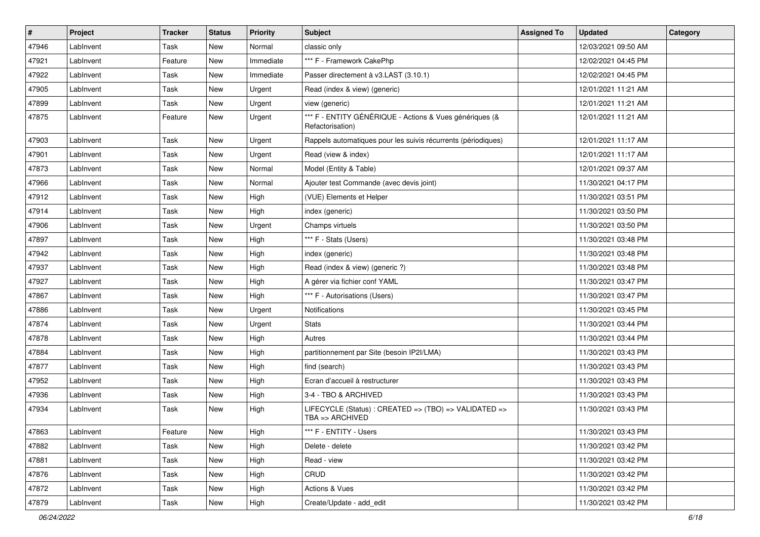| $\sharp$ | Project   | <b>Tracker</b> | <b>Status</b> | <b>Priority</b> | <b>Subject</b>                                                              | <b>Assigned To</b> | <b>Updated</b>      | Category |
|----------|-----------|----------------|---------------|-----------------|-----------------------------------------------------------------------------|--------------------|---------------------|----------|
| 47946    | LabInvent | Task           | New           | Normal          | classic only                                                                |                    | 12/03/2021 09:50 AM |          |
| 47921    | LabInvent | Feature        | <b>New</b>    | Immediate       | *** F - Framework CakePhp                                                   |                    | 12/02/2021 04:45 PM |          |
| 47922    | LabInvent | Task           | New           | Immediate       | Passer directement à v3.LAST (3.10.1)                                       |                    | 12/02/2021 04:45 PM |          |
| 47905    | LabInvent | Task           | New           | Urgent          | Read (index & view) (generic)                                               |                    | 12/01/2021 11:21 AM |          |
| 47899    | LabInvent | Task           | <b>New</b>    | Urgent          | view (generic)                                                              |                    | 12/01/2021 11:21 AM |          |
| 47875    | LabInvent | Feature        | New           | Urgent          | *** F - ENTITY GÉNÉRIQUE - Actions & Vues génériques (&<br>Refactorisation) |                    | 12/01/2021 11:21 AM |          |
| 47903    | LabInvent | Task           | New           | Urgent          | Rappels automatiques pour les suivis récurrents (périodiques)               |                    | 12/01/2021 11:17 AM |          |
| 47901    | LabInvent | Task           | <b>New</b>    | Urgent          | Read (view & index)                                                         |                    | 12/01/2021 11:17 AM |          |
| 47873    | LabInvent | Task           | New           | Normal          | Model (Entity & Table)                                                      |                    | 12/01/2021 09:37 AM |          |
| 47966    | LabInvent | Task           | New           | Normal          | Ajouter test Commande (avec devis joint)                                    |                    | 11/30/2021 04:17 PM |          |
| 47912    | LabInvent | Task           | New           | High            | (VUE) Elements et Helper                                                    |                    | 11/30/2021 03:51 PM |          |
| 47914    | LabInvent | Task           | New           | High            | index (generic)                                                             |                    | 11/30/2021 03:50 PM |          |
| 47906    | LabInvent | Task           | <b>New</b>    | Urgent          | Champs virtuels                                                             |                    | 11/30/2021 03:50 PM |          |
| 47897    | LabInvent | Task           | <b>New</b>    | High            | *** F - Stats (Users)                                                       |                    | 11/30/2021 03:48 PM |          |
| 47942    | LabInvent | Task           | New           | High            | index (generic)                                                             |                    | 11/30/2021 03:48 PM |          |
| 47937    | LabInvent | Task           | New           | High            | Read (index & view) (generic ?)                                             |                    | 11/30/2021 03:48 PM |          |
| 47927    | LabInvent | Task           | <b>New</b>    | High            | A gérer via fichier conf YAML                                               |                    | 11/30/2021 03:47 PM |          |
| 47867    | LabInvent | Task           | New           | High            | *** F - Autorisations (Users)                                               |                    | 11/30/2021 03:47 PM |          |
| 47886    | LabInvent | Task           | <b>New</b>    | Urgent          | Notifications                                                               |                    | 11/30/2021 03:45 PM |          |
| 47874    | LabInvent | Task           | New           | Urgent          | <b>Stats</b>                                                                |                    | 11/30/2021 03:44 PM |          |
| 47878    | LabInvent | Task           | <b>New</b>    | High            | Autres                                                                      |                    | 11/30/2021 03:44 PM |          |
| 47884    | LabInvent | Task           | <b>New</b>    | High            | partitionnement par Site (besoin IP2I/LMA)                                  |                    | 11/30/2021 03:43 PM |          |
| 47877    | LabInvent | Task           | New           | High            | find (search)                                                               |                    | 11/30/2021 03:43 PM |          |
| 47952    | LabInvent | Task           | <b>New</b>    | High            | Ecran d'accueil à restructurer                                              |                    | 11/30/2021 03:43 PM |          |
| 47936    | LabInvent | Task           | New           | High            | 3-4 - TBO & ARCHIVED                                                        |                    | 11/30/2021 03:43 PM |          |
| 47934    | LabInvent | Task           | New           | High            | LIFECYCLE (Status) : CREATED => (TBO) => VALIDATED =><br>TBA => ARCHIVED    |                    | 11/30/2021 03:43 PM |          |
| 47863    | LabInvent | Feature        | New           | High            | *** F - ENTITY - Users                                                      |                    | 11/30/2021 03:43 PM |          |
| 47882    | LabInvent | Task           | New           | High            | Delete - delete                                                             |                    | 11/30/2021 03:42 PM |          |
| 47881    | LabInvent | Task           | New           | High            | Read - view                                                                 |                    | 11/30/2021 03:42 PM |          |
| 47876    | LabInvent | Task           | New           | High            | CRUD                                                                        |                    | 11/30/2021 03:42 PM |          |
| 47872    | LabInvent | Task           | New           | High            | Actions & Vues                                                              |                    | 11/30/2021 03:42 PM |          |
| 47879    | LabInvent | Task           | New           | High            | Create/Update - add edit                                                    |                    | 11/30/2021 03:42 PM |          |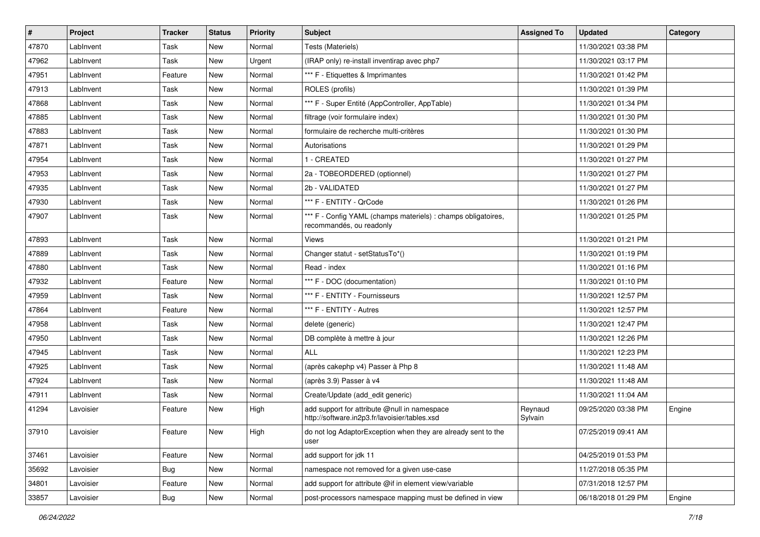| #     | Project   | <b>Tracker</b> | <b>Status</b> | <b>Priority</b> | Subject                                                                                       | <b>Assigned To</b> | <b>Updated</b>      | Category |
|-------|-----------|----------------|---------------|-----------------|-----------------------------------------------------------------------------------------------|--------------------|---------------------|----------|
| 47870 | LabInvent | Task           | New           | Normal          | Tests (Materiels)                                                                             |                    | 11/30/2021 03:38 PM |          |
| 47962 | LabInvent | Task           | <b>New</b>    | Urgent          | (IRAP only) re-install inventirap avec php7                                                   |                    | 11/30/2021 03:17 PM |          |
| 47951 | LabInvent | Feature        | New           | Normal          | *** F - Etiquettes & Imprimantes                                                              |                    | 11/30/2021 01:42 PM |          |
| 47913 | LabInvent | Task           | New           | Normal          | ROLES (profils)                                                                               |                    | 11/30/2021 01:39 PM |          |
| 47868 | LabInvent | Task           | <b>New</b>    | Normal          | *** F - Super Entité (AppController, AppTable)                                                |                    | 11/30/2021 01:34 PM |          |
| 47885 | LabInvent | Task           | New           | Normal          | filtrage (voir formulaire index)                                                              |                    | 11/30/2021 01:30 PM |          |
| 47883 | LabInvent | Task           | New           | Normal          | formulaire de recherche multi-critères                                                        |                    | 11/30/2021 01:30 PM |          |
| 47871 | LabInvent | Task           | New           | Normal          | Autorisations                                                                                 |                    | 11/30/2021 01:29 PM |          |
| 47954 | LabInvent | Task           | New           | Normal          | 1 - CREATED                                                                                   |                    | 11/30/2021 01:27 PM |          |
| 47953 | LabInvent | Task           | <b>New</b>    | Normal          | 2a - TOBEORDERED (optionnel)                                                                  |                    | 11/30/2021 01:27 PM |          |
| 47935 | LabInvent | Task           | New           | Normal          | 2b - VALIDATED                                                                                |                    | 11/30/2021 01:27 PM |          |
| 47930 | LabInvent | Task           | New           | Normal          | *** F - ENTITY - QrCode                                                                       |                    | 11/30/2021 01:26 PM |          |
| 47907 | LabInvent | Task           | New           | Normal          | *** F - Config YAML (champs materiels) : champs obligatoires,<br>recommandés, ou readonly     |                    | 11/30/2021 01:25 PM |          |
| 47893 | LabInvent | Task           | <b>New</b>    | Normal          | Views                                                                                         |                    | 11/30/2021 01:21 PM |          |
| 47889 | LabInvent | Task           | <b>New</b>    | Normal          | Changer statut - setStatusTo*()                                                               |                    | 11/30/2021 01:19 PM |          |
| 47880 | LabInvent | Task           | New           | Normal          | Read - index                                                                                  |                    | 11/30/2021 01:16 PM |          |
| 47932 | LabInvent | Feature        | <b>New</b>    | Normal          | *** F - DOC (documentation)                                                                   |                    | 11/30/2021 01:10 PM |          |
| 47959 | LabInvent | Task           | New           | Normal          | *** F - ENTITY - Fournisseurs                                                                 |                    | 11/30/2021 12:57 PM |          |
| 47864 | LabInvent | Feature        | New           | Normal          | *** F - ENTITY - Autres                                                                       |                    | 11/30/2021 12:57 PM |          |
| 47958 | LabInvent | Task           | <b>New</b>    | Normal          | delete (generic)                                                                              |                    | 11/30/2021 12:47 PM |          |
| 47950 | LabInvent | Task           | <b>New</b>    | Normal          | DB complète à mettre à jour                                                                   |                    | 11/30/2021 12:26 PM |          |
| 47945 | LabInvent | Task           | <b>New</b>    | Normal          | <b>ALL</b>                                                                                    |                    | 11/30/2021 12:23 PM |          |
| 47925 | LabInvent | Task           | <b>New</b>    | Normal          | (après cakephp v4) Passer à Php 8                                                             |                    | 11/30/2021 11:48 AM |          |
| 47924 | LabInvent | Task           | New           | Normal          | (après 3.9) Passer à v4                                                                       |                    | 11/30/2021 11:48 AM |          |
| 47911 | LabInvent | Task           | <b>New</b>    | Normal          | Create/Update (add_edit generic)                                                              |                    | 11/30/2021 11:04 AM |          |
| 41294 | Lavoisier | Feature        | New           | High            | add support for attribute @null in namespace<br>http://software.in2p3.fr/lavoisier/tables.xsd | Reynaud<br>Sylvain | 09/25/2020 03:38 PM | Engine   |
| 37910 | Lavoisier | Feature        | New           | High            | do not log AdaptorException when they are already sent to the<br>user                         |                    | 07/25/2019 09:41 AM |          |
| 37461 | Lavoisier | Feature        | New           | Normal          | add support for jdk 11                                                                        |                    | 04/25/2019 01:53 PM |          |
| 35692 | Lavoisier | <b>Bug</b>     | New           | Normal          | namespace not removed for a given use-case                                                    |                    | 11/27/2018 05:35 PM |          |
| 34801 | Lavoisier | Feature        | New           | Normal          | add support for attribute @if in element view/variable                                        |                    | 07/31/2018 12:57 PM |          |
| 33857 | Lavoisier | <b>Bug</b>     | New           | Normal          | post-processors namespace mapping must be defined in view                                     |                    | 06/18/2018 01:29 PM | Engine   |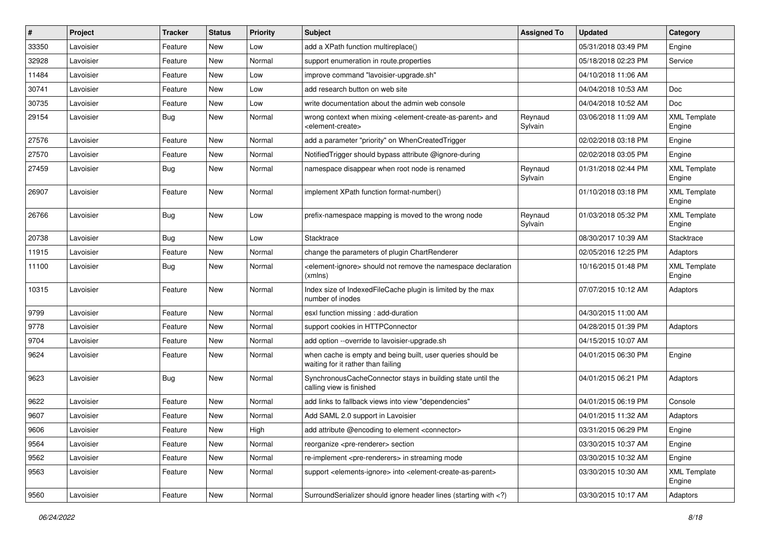| #     | Project   | <b>Tracker</b> | <b>Status</b> | <b>Priority</b> | <b>Subject</b>                                                                                                              | <b>Assigned To</b> | <b>Updated</b>      | Category                      |
|-------|-----------|----------------|---------------|-----------------|-----------------------------------------------------------------------------------------------------------------------------|--------------------|---------------------|-------------------------------|
| 33350 | Lavoisier | Feature        | New           | Low             | add a XPath function multireplace()                                                                                         |                    | 05/31/2018 03:49 PM | Engine                        |
| 32928 | Lavoisier | Feature        | <b>New</b>    | Normal          | support enumeration in route properties                                                                                     |                    | 05/18/2018 02:23 PM | Service                       |
| 11484 | Lavoisier | Feature        | New           | Low             | improve command "lavoisier-upgrade.sh"                                                                                      |                    | 04/10/2018 11:06 AM |                               |
| 30741 | Lavoisier | Feature        | New           | Low             | add research button on web site                                                                                             |                    | 04/04/2018 10:53 AM | <b>Doc</b>                    |
| 30735 | Lavoisier | Feature        | New           | Low             | write documentation about the admin web console                                                                             |                    | 04/04/2018 10:52 AM | Doc                           |
| 29154 | Lavoisier | Bug            | New           | Normal          | wrong context when mixing <element-create-as-parent> and<br/><element-create></element-create></element-create-as-parent>   | Reynaud<br>Sylvain | 03/06/2018 11:09 AM | <b>XML</b> Template<br>Engine |
| 27576 | Lavoisier | Feature        | New           | Normal          | add a parameter "priority" on WhenCreatedTrigger                                                                            |                    | 02/02/2018 03:18 PM | Engine                        |
| 27570 | Lavoisier | Feature        | New           | Normal          | Notified Trigger should bypass attribute @ignore-during                                                                     |                    | 02/02/2018 03:05 PM | Engine                        |
| 27459 | Lavoisier | Bug            | New           | Normal          | namespace disappear when root node is renamed                                                                               | Reynaud<br>Sylvain | 01/31/2018 02:44 PM | <b>XML Template</b><br>Engine |
| 26907 | Lavoisier | Feature        | New           | Normal          | implement XPath function format-number()                                                                                    |                    | 01/10/2018 03:18 PM | <b>XML Template</b><br>Engine |
| 26766 | Lavoisier | <b>Bug</b>     | New           | Low             | prefix-namespace mapping is moved to the wrong node                                                                         | Reynaud<br>Sylvain | 01/03/2018 05:32 PM | <b>XML Template</b><br>Engine |
| 20738 | Lavoisier | Bug            | New           | Low             | Stacktrace                                                                                                                  |                    | 08/30/2017 10:39 AM | Stacktrace                    |
| 11915 | Lavoisier | Feature        | New           | Normal          | change the parameters of plugin ChartRenderer                                                                               |                    | 02/05/2016 12:25 PM | Adaptors                      |
| 11100 | Lavoisier | <b>Bug</b>     | New           | Normal          | <element-ignore> should not remove the namespace declaration<br/>(xmlns)</element-ignore>                                   |                    | 10/16/2015 01:48 PM | <b>XML Template</b><br>Engine |
| 10315 | Lavoisier | Feature        | New           | Normal          | Index size of IndexedFileCache plugin is limited by the max<br>number of inodes                                             |                    | 07/07/2015 10:12 AM | Adaptors                      |
| 9799  | Lavoisier | Feature        | New           | Normal          | esxl function missing : add-duration                                                                                        |                    | 04/30/2015 11:00 AM |                               |
| 9778  | Lavoisier | Feature        | New           | Normal          | support cookies in HTTPConnector                                                                                            |                    | 04/28/2015 01:39 PM | Adaptors                      |
| 9704  | Lavoisier | Feature        | New           | Normal          | add option --override to lavoisier-upgrade.sh                                                                               |                    | 04/15/2015 10:07 AM |                               |
| 9624  | Lavoisier | Feature        | New           | Normal          | when cache is empty and being built, user queries should be<br>waiting for it rather than failing                           |                    | 04/01/2015 06:30 PM | Engine                        |
| 9623  | Lavoisier | Bug            | New           | Normal          | SynchronousCacheConnector stays in building state until the<br>calling view is finished                                     |                    | 04/01/2015 06:21 PM | Adaptors                      |
| 9622  | Lavoisier | Feature        | New           | Normal          | add links to fallback views into view "dependencies"                                                                        |                    | 04/01/2015 06:19 PM | Console                       |
| 9607  | Lavoisier | Feature        | New           | Normal          | Add SAML 2.0 support in Lavoisier                                                                                           |                    | 04/01/2015 11:32 AM | Adaptors                      |
| 9606  | Lavoisier | Feature        | New           | High            | add attribute @encoding to element <connector></connector>                                                                  |                    | 03/31/2015 06:29 PM | Engine                        |
| 9564  | Lavoisier | Feature        | New           | Normal          | reorganize <pre-renderer> section</pre-renderer>                                                                            |                    | 03/30/2015 10:37 AM | Engine                        |
| 9562  | Lavoisier | Feature        | New           | Normal          | re-implement <pre-renderers> in streaming mode</pre-renderers>                                                              |                    | 03/30/2015 10:32 AM | Engine                        |
| 9563  | Lavoisier | Feature        | New           | Normal          | support <elements-ignore> into <element-create-as-parent></element-create-as-parent></elements-ignore>                      |                    | 03/30/2015 10:30 AM | <b>XML Template</b><br>Engine |
| 9560  | Lavoisier | Feature        | New           | Normal          | SurroundSerializer should ignore header lines (starting with )</td <td></td> <td>03/30/2015 10:17 AM</td> <td>Adaptors</td> |                    | 03/30/2015 10:17 AM | Adaptors                      |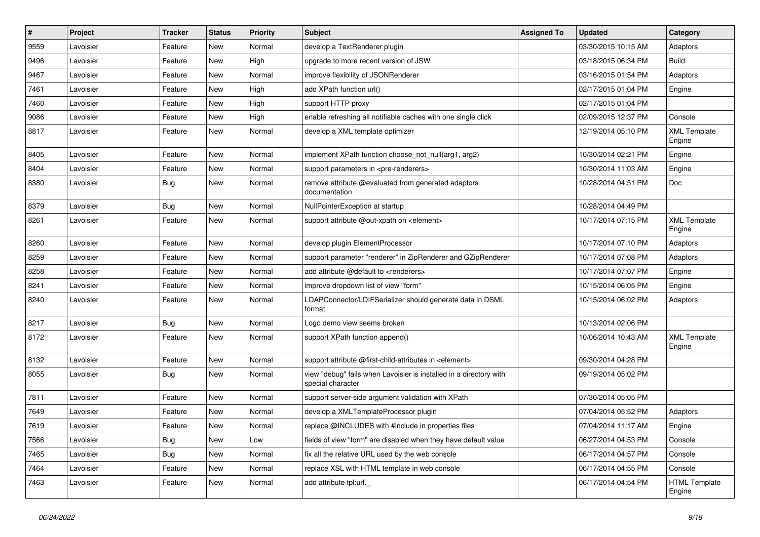| $\vert$ # | Project   | <b>Tracker</b> | <b>Status</b> | <b>Priority</b> | Subject                                                                                 | <b>Assigned To</b> | <b>Updated</b>      | Category                       |
|-----------|-----------|----------------|---------------|-----------------|-----------------------------------------------------------------------------------------|--------------------|---------------------|--------------------------------|
| 9559      | Lavoisier | Feature        | New           | Normal          | develop a TextRenderer plugin                                                           |                    | 03/30/2015 10:15 AM | Adaptors                       |
| 9496      | Lavoisier | Feature        | <b>New</b>    | High            | upgrade to more recent version of JSW                                                   |                    | 03/18/2015 06:34 PM | <b>Build</b>                   |
| 9467      | Lavoisier | Feature        | New           | Normal          | improve flexibility of JSONRenderer                                                     |                    | 03/16/2015 01:54 PM | Adaptors                       |
| 7461      | Lavoisier | Feature        | New           | High            | add XPath function url()                                                                |                    | 02/17/2015 01:04 PM | Engine                         |
| 7460      | Lavoisier | Feature        | <b>New</b>    | High            | support HTTP proxy                                                                      |                    | 02/17/2015 01:04 PM |                                |
| 9086      | Lavoisier | Feature        | New           | High            | enable refreshing all notifiable caches with one single click                           |                    | 02/09/2015 12:37 PM | Console                        |
| 8817      | Lavoisier | Feature        | New           | Normal          | develop a XML template optimizer                                                        |                    | 12/19/2014 05:10 PM | <b>XML Template</b><br>Engine  |
| 8405      | Lavoisier | Feature        | New           | Normal          | implement XPath function choose_not_null(arg1, arg2)                                    |                    | 10/30/2014 02:21 PM | Engine                         |
| 8404      | Lavoisier | Feature        | <b>New</b>    | Normal          | support parameters in <pre-renderers></pre-renderers>                                   |                    | 10/30/2014 11:03 AM | Engine                         |
| 8380      | Lavoisier | Bug            | New           | Normal          | remove attribute @evaluated from generated adaptors<br>documentation                    |                    | 10/28/2014 04:51 PM | Doc                            |
| 8379      | Lavoisier | Bug            | <b>New</b>    | Normal          | NullPointerException at startup                                                         |                    | 10/28/2014 04:49 PM |                                |
| 8261      | Lavoisier | Feature        | New           | Normal          | support attribute @out-xpath on <element></element>                                     |                    | 10/17/2014 07:15 PM | <b>XML Template</b><br>Engine  |
| 8260      | Lavoisier | Feature        | New           | Normal          | develop plugin ElementProcessor                                                         |                    | 10/17/2014 07:10 PM | Adaptors                       |
| 8259      | Lavoisier | Feature        | New           | Normal          | support parameter "renderer" in ZipRenderer and GZipRenderer                            |                    | 10/17/2014 07:08 PM | Adaptors                       |
| 8258      | Lavoisier | Feature        | <b>New</b>    | Normal          | add attribute @default to <renderers></renderers>                                       |                    | 10/17/2014 07:07 PM | Engine                         |
| 8241      | Lavoisier | Feature        | New           | Normal          | improve dropdown list of view "form"                                                    |                    | 10/15/2014 06:05 PM | Engine                         |
| 8240      | Lavoisier | Feature        | New           | Normal          | LDAPConnector/LDIFSerializer should generate data in DSML<br>format                     |                    | 10/15/2014 06:02 PM | Adaptors                       |
| 8217      | Lavoisier | Bug            | <b>New</b>    | Normal          | Logo demo view seems broken                                                             |                    | 10/13/2014 02:06 PM |                                |
| 8172      | Lavoisier | Feature        | New           | Normal          | support XPath function append()                                                         |                    | 10/06/2014 10:43 AM | <b>XML Template</b><br>Engine  |
| 8132      | Lavoisier | Feature        | <b>New</b>    | Normal          | support attribute @first-child-attributes in <element></element>                        |                    | 09/30/2014 04:28 PM |                                |
| 8055      | Lavoisier | Bug            | New           | Normal          | view "debug" fails when Lavoisier is installed in a directory with<br>special character |                    | 09/19/2014 05:02 PM |                                |
| 7811      | Lavoisier | Feature        | New           | Normal          | support server-side argument validation with XPath                                      |                    | 07/30/2014 05:05 PM |                                |
| 7649      | Lavoisier | Feature        | <b>New</b>    | Normal          | develop a XMLTemplateProcessor plugin                                                   |                    | 07/04/2014 05:52 PM | Adaptors                       |
| 7619      | Lavoisier | Feature        | New           | Normal          | replace @INCLUDES with #include in properties files                                     |                    | 07/04/2014 11:17 AM | Engine                         |
| 7566      | Lavoisier | <b>Bug</b>     | <b>New</b>    | Low             | fields of view "form" are disabled when they have default value                         |                    | 06/27/2014 04:53 PM | Console                        |
| 7465      | Lavoisier | <b>Bug</b>     | New           | Normal          | fix all the relative URL used by the web console                                        |                    | 06/17/2014 04:57 PM | Console                        |
| 7464      | Lavoisier | Feature        | New           | Normal          | replace XSL with HTML template in web console                                           |                    | 06/17/2014 04:55 PM | Console                        |
| 7463      | Lavoisier | Feature        | New           | Normal          | add attribute tpl:url._                                                                 |                    | 06/17/2014 04:54 PM | <b>HTML Template</b><br>Engine |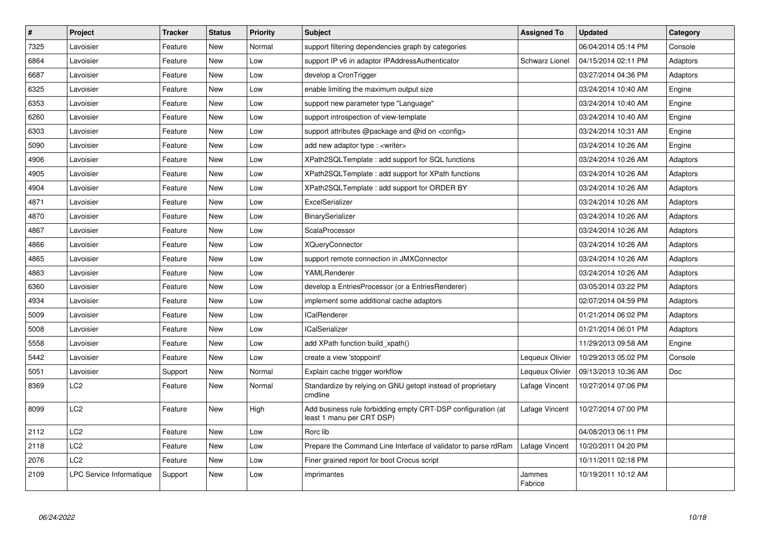| $\vert$ # | <b>Project</b>           | <b>Tracker</b> | <b>Status</b> | <b>Priority</b> | <b>Subject</b>                                                                            | <b>Assigned To</b> | <b>Updated</b>      | Category |
|-----------|--------------------------|----------------|---------------|-----------------|-------------------------------------------------------------------------------------------|--------------------|---------------------|----------|
| 7325      | Lavoisier                | Feature        | <b>New</b>    | Normal          | support filtering dependencies graph by categories                                        |                    | 06/04/2014 05:14 PM | Console  |
| 6864      | Lavoisier                | Feature        | <b>New</b>    | Low             | support IP v6 in adaptor IPAddressAuthenticator                                           | Schwarz Lionel     | 04/15/2014 02:11 PM | Adaptors |
| 6687      | Lavoisier                | Feature        | New           | Low             | develop a CronTrigger                                                                     |                    | 03/27/2014 04:36 PM | Adaptors |
| 6325      | Lavoisier                | Feature        | <b>New</b>    | Low             | enable limiting the maximum output size                                                   |                    | 03/24/2014 10:40 AM | Engine   |
| 6353      | Lavoisier                | Feature        | New           | Low             | support new parameter type "Language"                                                     |                    | 03/24/2014 10:40 AM | Engine   |
| 6260      | Lavoisier                | Feature        | <b>New</b>    | Low             | support introspection of view-template                                                    |                    | 03/24/2014 10:40 AM | Engine   |
| 6303      | Lavoisier                | Feature        | New           | Low             | support attributes @package and @id on <config></config>                                  |                    | 03/24/2014 10:31 AM | Engine   |
| 5090      | Lavoisier                | Feature        | New           | Low             | add new adaptor type : <writer></writer>                                                  |                    | 03/24/2014 10:26 AM | Engine   |
| 4906      | Lavoisier                | Feature        | New           | Low             | XPath2SQLTemplate: add support for SQL functions                                          |                    | 03/24/2014 10:26 AM | Adaptors |
| 4905      | Lavoisier                | Feature        | <b>New</b>    | Low             | XPath2SQLTemplate: add support for XPath functions                                        |                    | 03/24/2014 10:26 AM | Adaptors |
| 4904      | Lavoisier                | Feature        | New           | Low             | XPath2SQLTemplate: add support for ORDER BY                                               |                    | 03/24/2014 10:26 AM | Adaptors |
| 4871      | Lavoisier                | Feature        | New           | Low             | ExcelSerializer                                                                           |                    | 03/24/2014 10:26 AM | Adaptors |
| 4870      | Lavoisier                | Feature        | New           | Low             | BinarySerializer                                                                          |                    | 03/24/2014 10:26 AM | Adaptors |
| 4867      | Lavoisier                | Feature        | New           | Low             | ScalaProcessor                                                                            |                    | 03/24/2014 10:26 AM | Adaptors |
| 4866      | Lavoisier                | Feature        | <b>New</b>    | Low             | <b>XQueryConnector</b>                                                                    |                    | 03/24/2014 10:26 AM | Adaptors |
| 4865      | Lavoisier                | Feature        | New           | Low             | support remote connection in JMXConnector                                                 |                    | 03/24/2014 10:26 AM | Adaptors |
| 4863      | Lavoisier                | Feature        | <b>New</b>    | Low             | YAMLRenderer                                                                              |                    | 03/24/2014 10:26 AM | Adaptors |
| 6360      | Lavoisier                | Feature        | New           | Low             | develop a EntriesProcessor (or a EntriesRenderer)                                         |                    | 03/05/2014 03:22 PM | Adaptors |
| 4934      | Lavoisier                | Feature        | <b>New</b>    | Low             | implement some additional cache adaptors                                                  |                    | 02/07/2014 04:59 PM | Adaptors |
| 5009      | Lavoisier                | Feature        | New           | Low             | <b>ICalRenderer</b>                                                                       |                    | 01/21/2014 06:02 PM | Adaptors |
| 5008      | Lavoisier                | Feature        | <b>New</b>    | Low             | <b>ICalSerializer</b>                                                                     |                    | 01/21/2014 06:01 PM | Adaptors |
| 5558      | Lavoisier                | Feature        | New           | Low             | add XPath function build xpath()                                                          |                    | 11/29/2013 09:58 AM | Engine   |
| 5442      | Lavoisier                | Feature        | <b>New</b>    | Low             | create a view 'stoppoint'                                                                 | Lequeux Olivier    | 10/29/2013 05:02 PM | Console  |
| 5051      | Lavoisier                | Support        | New           | Normal          | Explain cache trigger workflow                                                            | Lequeux Olivier    | 09/13/2013 10:36 AM | Doc      |
| 8369      | LC <sub>2</sub>          | Feature        | <b>New</b>    | Normal          | Standardize by relying on GNU getopt instead of proprietary<br>cmdline                    | Lafage Vincent     | 10/27/2014 07:06 PM |          |
| 8099      | LC <sub>2</sub>          | Feature        | New           | High            | Add business rule forbidding empty CRT-DSP configuration (at<br>least 1 manu per CRT DSP) | Lafage Vincent     | 10/27/2014 07:00 PM |          |
| 2112      | LC <sub>2</sub>          | Feature        | New           | Low             | Rorc lib                                                                                  |                    | 04/08/2013 06:11 PM |          |
| 2118      | LC <sub>2</sub>          | Feature        | New           | Low             | Prepare the Command Line Interface of validator to parse rdRam                            | Lafage Vincent     | 10/20/2011 04:20 PM |          |
| 2076      | LC <sub>2</sub>          | Feature        | <b>New</b>    | Low             | Finer grained report for boot Crocus script                                               |                    | 10/11/2011 02:18 PM |          |
| 2109      | LPC Service Informatique | Support        | New           | Low             | imprimantes                                                                               | Jammes<br>Fabrice  | 10/19/2011 10:12 AM |          |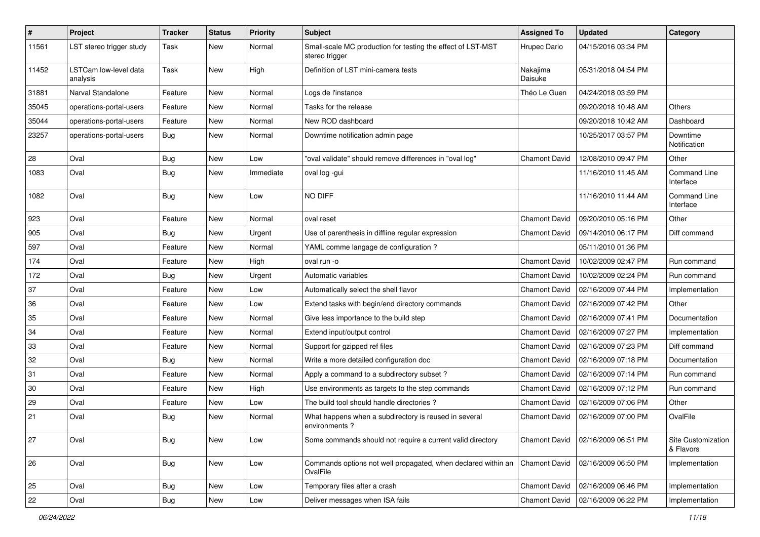| $\sharp$ | Project                           | <b>Tracker</b> | <b>Status</b> | <b>Priority</b> | <b>Subject</b>                                                                | <b>Assigned To</b>   | <b>Updated</b>                      | Category                        |
|----------|-----------------------------------|----------------|---------------|-----------------|-------------------------------------------------------------------------------|----------------------|-------------------------------------|---------------------------------|
| 11561    | LST stereo trigger study          | Task           | New           | Normal          | Small-scale MC production for testing the effect of LST-MST<br>stereo trigger | Hrupec Dario         | 04/15/2016 03:34 PM                 |                                 |
| 11452    | LSTCam low-level data<br>analysis | Task           | New           | High            | Definition of LST mini-camera tests                                           | Nakajima<br>Daisuke  | 05/31/2018 04:54 PM                 |                                 |
| 31881    | Narval Standalone                 | Feature        | <b>New</b>    | Normal          | Logs de l'instance                                                            | Théo Le Guen         | 04/24/2018 03:59 PM                 |                                 |
| 35045    | operations-portal-users           | Feature        | New           | Normal          | Tasks for the release                                                         |                      | 09/20/2018 10:48 AM                 | <b>Others</b>                   |
| 35044    | operations-portal-users           | Feature        | New           | Normal          | New ROD dashboard                                                             |                      | 09/20/2018 10:42 AM                 | Dashboard                       |
| 23257    | operations-portal-users           | Bug            | New           | Normal          | Downtime notification admin page                                              |                      | 10/25/2017 03:57 PM                 | Downtime<br>Notification        |
| 28       | Oval                              | Bug            | <b>New</b>    | Low             | "oval validate" should remove differences in "oval log"                       | <b>Chamont David</b> | 12/08/2010 09:47 PM                 | Other                           |
| 1083     | Oval                              | Bug            | New           | Immediate       | oval log -gui                                                                 |                      | 11/16/2010 11:45 AM                 | Command Line<br>Interface       |
| 1082     | Oval                              | <b>Bug</b>     | New           | Low             | NO DIFF                                                                       |                      | 11/16/2010 11:44 AM                 | Command Line<br>Interface       |
| 923      | Oval                              | Feature        | <b>New</b>    | Normal          | oval reset                                                                    | <b>Chamont David</b> | 09/20/2010 05:16 PM                 | Other                           |
| 905      | Oval                              | Bug            | New           | Urgent          | Use of parenthesis in diffline regular expression                             | <b>Chamont David</b> | 09/14/2010 06:17 PM                 | Diff command                    |
| 597      | Oval                              | Feature        | New           | Normal          | YAML comme langage de configuration?                                          |                      | 05/11/2010 01:36 PM                 |                                 |
| 174      | Oval                              | Feature        | New           | High            | oval run -o                                                                   | Chamont David        | 10/02/2009 02:47 PM                 | Run command                     |
| 172      | Oval                              | <b>Bug</b>     | New           | Urgent          | Automatic variables                                                           | <b>Chamont David</b> | 10/02/2009 02:24 PM                 | Run command                     |
| 37       | Oval                              | Feature        | <b>New</b>    | Low             | Automatically select the shell flavor                                         | Chamont David        | 02/16/2009 07:44 PM                 | Implementation                  |
| 36       | Oval                              | Feature        | New           | Low             | Extend tasks with begin/end directory commands                                | <b>Chamont David</b> | 02/16/2009 07:42 PM                 | Other                           |
| 35       | Oval                              | Feature        | <b>New</b>    | Normal          | Give less importance to the build step                                        | <b>Chamont David</b> | 02/16/2009 07:41 PM                 | Documentation                   |
| 34       | Oval                              | Feature        | New           | Normal          | Extend input/output control                                                   | <b>Chamont David</b> | 02/16/2009 07:27 PM                 | Implementation                  |
| 33       | Oval                              | Feature        | New           | Normal          | Support for gzipped ref files                                                 | <b>Chamont David</b> | 02/16/2009 07:23 PM                 | Diff command                    |
| 32       | Oval                              | Bug            | New           | Normal          | Write a more detailed configuration doc                                       | <b>Chamont David</b> | 02/16/2009 07:18 PM                 | Documentation                   |
| 31       | Oval                              | Feature        | New           | Normal          | Apply a command to a subdirectory subset?                                     | <b>Chamont David</b> | 02/16/2009 07:14 PM                 | Run command                     |
| 30       | Oval                              | Feature        | New           | High            | Use environments as targets to the step commands                              | Chamont David        | 02/16/2009 07:12 PM                 | Run command                     |
| 29       | Oval                              | Feature        | <b>New</b>    | Low             | The build tool should handle directories?                                     | <b>Chamont David</b> | 02/16/2009 07:06 PM                 | Other                           |
| 21       | Oval                              | Bug            | New           | Normal          | What happens when a subdirectory is reused in several<br>environments?        | <b>Chamont David</b> | 02/16/2009 07:00 PM                 | OvalFile                        |
| 27       | Oval                              | <b>Bug</b>     | New           | Low             | Some commands should not require a current valid directory                    | <b>Chamont David</b> | 02/16/2009 06:51 PM                 | Site Customization<br>& Flavors |
| 26       | Oval                              | Bug            | New           | Low             | Commands options not well propagated, when declared within an<br>OvalFile     | Chamont David        | 02/16/2009 06:50 PM                 | Implementation                  |
| 25       | Oval                              | Bug            | New           | Low             | Temporary files after a crash                                                 | Chamont David        | 02/16/2009 06:46 PM                 | Implementation                  |
| 22       | Oval                              | <b>Bug</b>     | New           | Low             | Deliver messages when ISA fails                                               |                      | Chamont David   02/16/2009 06:22 PM | Implementation                  |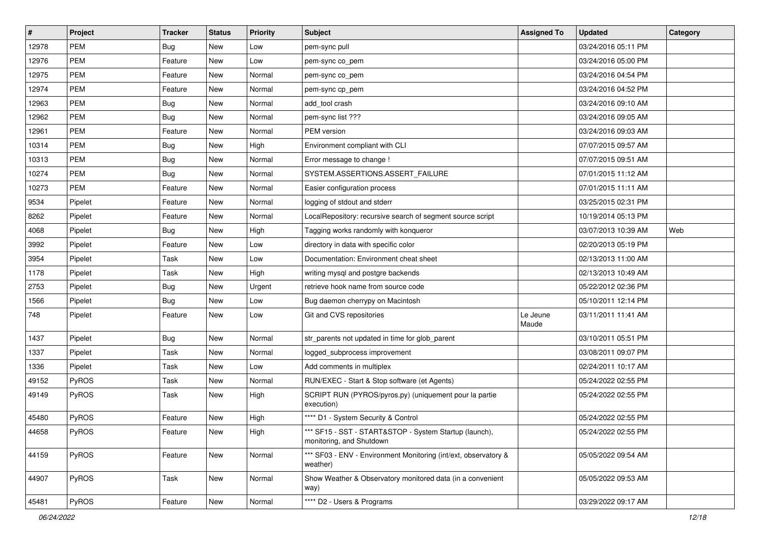| $\vert$ # | Project    | Tracker    | <b>Status</b> | <b>Priority</b> | Subject                                                                            | <b>Assigned To</b> | <b>Updated</b>      | Category |
|-----------|------------|------------|---------------|-----------------|------------------------------------------------------------------------------------|--------------------|---------------------|----------|
| 12978     | PEM        | <b>Bug</b> | New           | Low             | pem-sync pull                                                                      |                    | 03/24/2016 05:11 PM |          |
| 12976     | <b>PEM</b> | Feature    | New           | Low             | pem-sync co_pem                                                                    |                    | 03/24/2016 05:00 PM |          |
| 12975     | PEM        | Feature    | New           | Normal          | pem-sync co_pem                                                                    |                    | 03/24/2016 04:54 PM |          |
| 12974     | <b>PEM</b> | Feature    | New           | Normal          | pem-sync cp pem                                                                    |                    | 03/24/2016 04:52 PM |          |
| 12963     | <b>PEM</b> | <b>Bug</b> | New           | Normal          | add tool crash                                                                     |                    | 03/24/2016 09:10 AM |          |
| 12962     | PEM        | Bug        | New           | Normal          | pem-sync list ???                                                                  |                    | 03/24/2016 09:05 AM |          |
| 12961     | <b>PEM</b> | Feature    | New           | Normal          | PEM version                                                                        |                    | 03/24/2016 09:03 AM |          |
| 10314     | PEM        | Bug        | New           | High            | Environment compliant with CLI                                                     |                    | 07/07/2015 09:57 AM |          |
| 10313     | PEM        | <b>Bug</b> | New           | Normal          | Error message to change !                                                          |                    | 07/07/2015 09:51 AM |          |
| 10274     | <b>PEM</b> | Bug        | New           | Normal          | SYSTEM.ASSERTIONS.ASSERT_FAILURE                                                   |                    | 07/01/2015 11:12 AM |          |
| 10273     | PEM        | Feature    | New           | Normal          | Easier configuration process                                                       |                    | 07/01/2015 11:11 AM |          |
| 9534      | Pipelet    | Feature    | New           | Normal          | logging of stdout and stderr                                                       |                    | 03/25/2015 02:31 PM |          |
| 8262      | Pipelet    | Feature    | New           | Normal          | LocalRepository: recursive search of segment source script                         |                    | 10/19/2014 05:13 PM |          |
| 4068      | Pipelet    | Bug        | New           | High            | Tagging works randomly with konqueror                                              |                    | 03/07/2013 10:39 AM | Web      |
| 3992      | Pipelet    | Feature    | New           | Low             | directory in data with specific color                                              |                    | 02/20/2013 05:19 PM |          |
| 3954      | Pipelet    | Task       | New           | Low             | Documentation: Environment cheat sheet                                             |                    | 02/13/2013 11:00 AM |          |
| 1178      | Pipelet    | Task       | New           | High            | writing mysql and postgre backends                                                 |                    | 02/13/2013 10:49 AM |          |
| 2753      | Pipelet    | <b>Bug</b> | New           | Urgent          | retrieve hook name from source code                                                |                    | 05/22/2012 02:36 PM |          |
| 1566      | Pipelet    | Bug        | New           | Low             | Bug daemon cherrypy on Macintosh                                                   |                    | 05/10/2011 12:14 PM |          |
| 748       | Pipelet    | Feature    | New           | Low             | Git and CVS repositories                                                           | Le Jeune<br>Maude  | 03/11/2011 11:41 AM |          |
| 1437      | Pipelet    | <b>Bug</b> | New           | Normal          | str_parents not updated in time for glob_parent                                    |                    | 03/10/2011 05:51 PM |          |
| 1337      | Pipelet    | Task       | New           | Normal          | logged_subprocess improvement                                                      |                    | 03/08/2011 09:07 PM |          |
| 1336      | Pipelet    | Task       | New           | Low             | Add comments in multiplex                                                          |                    | 02/24/2011 10:17 AM |          |
| 49152     | PyROS      | Task       | New           | Normal          | RUN/EXEC - Start & Stop software (et Agents)                                       |                    | 05/24/2022 02:55 PM |          |
| 49149     | PyROS      | Task       | New           | High            | SCRIPT RUN (PYROS/pyros.py) (uniquement pour la partie<br>execution)               |                    | 05/24/2022 02:55 PM |          |
| 45480     | PyROS      | Feature    | New           | High            | **** D1 - System Security & Control                                                |                    | 05/24/2022 02:55 PM |          |
| 44658     | PyROS      | Feature    | New           | High            | *** SF15 - SST - START&STOP - System Startup (launch),<br>monitoring, and Shutdown |                    | 05/24/2022 02:55 PM |          |
| 44159     | PyROS      | Feature    | New           | Normal          | *** SF03 - ENV - Environment Monitoring (int/ext, observatory &<br>weather)        |                    | 05/05/2022 09:54 AM |          |
| 44907     | PyROS      | Task       | New           | Normal          | Show Weather & Observatory monitored data (in a convenient<br>way)                 |                    | 05/05/2022 09:53 AM |          |
| 45481     | PyROS      | Feature    | New           | Normal          | **** D2 - Users & Programs                                                         |                    | 03/29/2022 09:17 AM |          |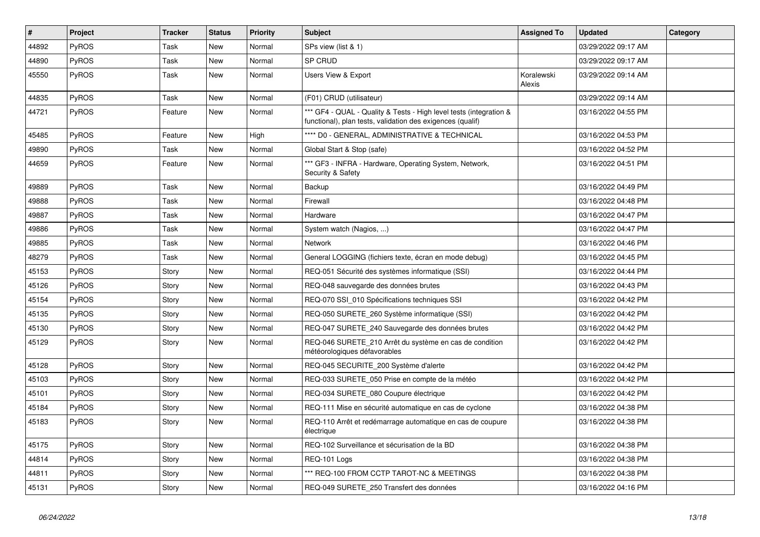| $\vert$ # | Project      | <b>Tracker</b> | <b>Status</b> | <b>Priority</b> | <b>Subject</b>                                                                                                                   | <b>Assigned To</b>   | <b>Updated</b>      | Category |
|-----------|--------------|----------------|---------------|-----------------|----------------------------------------------------------------------------------------------------------------------------------|----------------------|---------------------|----------|
| 44892     | PyROS        | Task           | <b>New</b>    | Normal          | SPs view (list & 1)                                                                                                              |                      | 03/29/2022 09:17 AM |          |
| 44890     | PyROS        | Task           | <b>New</b>    | Normal          | SP CRUD                                                                                                                          |                      | 03/29/2022 09:17 AM |          |
| 45550     | PyROS        | Task           | <b>New</b>    | Normal          | Users View & Export                                                                                                              | Koralewski<br>Alexis | 03/29/2022 09:14 AM |          |
| 44835     | PyROS        | Task           | <b>New</b>    | Normal          | (F01) CRUD (utilisateur)                                                                                                         |                      | 03/29/2022 09:14 AM |          |
| 44721     | PyROS        | Feature        | <b>New</b>    | Normal          | *** GF4 - QUAL - Quality & Tests - High level tests (integration &<br>functional), plan tests, validation des exigences (qualif) |                      | 03/16/2022 04:55 PM |          |
| 45485     | PyROS        | Feature        | <b>New</b>    | High            | **** D0 - GENERAL, ADMINISTRATIVE & TECHNICAL                                                                                    |                      | 03/16/2022 04:53 PM |          |
| 49890     | PyROS        | Task           | <b>New</b>    | Normal          | Global Start & Stop (safe)                                                                                                       |                      | 03/16/2022 04:52 PM |          |
| 44659     | PyROS        | Feature        | New           | Normal          | *** GF3 - INFRA - Hardware, Operating System, Network,<br>Security & Safety                                                      |                      | 03/16/2022 04:51 PM |          |
| 49889     | PyROS        | Task           | <b>New</b>    | Normal          | Backup                                                                                                                           |                      | 03/16/2022 04:49 PM |          |
| 49888     | PyROS        | Task           | New           | Normal          | Firewall                                                                                                                         |                      | 03/16/2022 04:48 PM |          |
| 49887     | PyROS        | Task           | New           | Normal          | Hardware                                                                                                                         |                      | 03/16/2022 04:47 PM |          |
| 49886     | PyROS        | Task           | <b>New</b>    | Normal          | System watch (Nagios, )                                                                                                          |                      | 03/16/2022 04:47 PM |          |
| 49885     | <b>PyROS</b> | Task           | New           | Normal          | <b>Network</b>                                                                                                                   |                      | 03/16/2022 04:46 PM |          |
| 48279     | <b>PyROS</b> | Task           | New           | Normal          | General LOGGING (fichiers texte, écran en mode debug)                                                                            |                      | 03/16/2022 04:45 PM |          |
| 45153     | <b>PyROS</b> | Story          | New           | Normal          | REQ-051 Sécurité des systèmes informatique (SSI)                                                                                 |                      | 03/16/2022 04:44 PM |          |
| 45126     | PyROS        | Story          | <b>New</b>    | Normal          | REQ-048 sauvegarde des données brutes                                                                                            |                      | 03/16/2022 04:43 PM |          |
| 45154     | PyROS        | Story          | <b>New</b>    | Normal          | REQ-070 SSI 010 Spécifications techniques SSI                                                                                    |                      | 03/16/2022 04:42 PM |          |
| 45135     | <b>PyROS</b> | Story          | New           | Normal          | REQ-050 SURETE_260 Système informatique (SSI)                                                                                    |                      | 03/16/2022 04:42 PM |          |
| 45130     | <b>PyROS</b> | Story          | New           | Normal          | REQ-047 SURETE 240 Sauvegarde des données brutes                                                                                 |                      | 03/16/2022 04:42 PM |          |
| 45129     | <b>PyROS</b> | Story          | <b>New</b>    | Normal          | REQ-046 SURETE_210 Arrêt du système en cas de condition<br>météorologiques défavorables                                          |                      | 03/16/2022 04:42 PM |          |
| 45128     | PyROS        | Story          | New           | Normal          | REQ-045 SECURITE 200 Système d'alerte                                                                                            |                      | 03/16/2022 04:42 PM |          |
| 45103     | PyROS        | Story          | New           | Normal          | REQ-033 SURETE_050 Prise en compte de la météo                                                                                   |                      | 03/16/2022 04:42 PM |          |
| 45101     | <b>PyROS</b> | Story          | <b>New</b>    | Normal          | REQ-034 SURETE 080 Coupure électrique                                                                                            |                      | 03/16/2022 04:42 PM |          |
| 45184     | PyROS        | Story          | <b>New</b>    | Normal          | REQ-111 Mise en sécurité automatique en cas de cyclone                                                                           |                      | 03/16/2022 04:38 PM |          |
| 45183     | <b>PyROS</b> | Story          | New           | Normal          | REQ-110 Arrêt et redémarrage automatique en cas de coupure<br>électrique                                                         |                      | 03/16/2022 04:38 PM |          |
| 45175     | PyROS        | Story          | <b>New</b>    | Normal          | REQ-102 Surveillance et sécurisation de la BD                                                                                    |                      | 03/16/2022 04:38 PM |          |
| 44814     | PyROS        | Story          | New           | Normal          | REQ-101 Logs                                                                                                                     |                      | 03/16/2022 04:38 PM |          |
| 44811     | PyROS        | Story          | <b>New</b>    | Normal          | *** REQ-100 FROM CCTP TAROT-NC & MEETINGS                                                                                        |                      | 03/16/2022 04:38 PM |          |
| 45131     | PyROS        | Story          | <b>New</b>    | Normal          | REQ-049 SURETE 250 Transfert des données                                                                                         |                      | 03/16/2022 04:16 PM |          |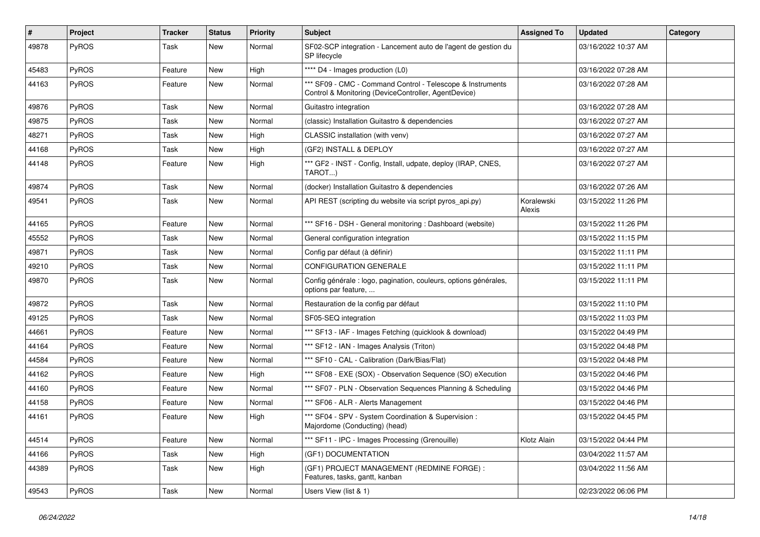| #     | Project      | <b>Tracker</b> | <b>Status</b> | <b>Priority</b> | <b>Subject</b>                                                                                                     | <b>Assigned To</b>   | <b>Updated</b>      | Category |
|-------|--------------|----------------|---------------|-----------------|--------------------------------------------------------------------------------------------------------------------|----------------------|---------------------|----------|
| 49878 | PyROS        | Task           | <b>New</b>    | Normal          | SF02-SCP integration - Lancement auto de l'agent de gestion du<br>SP lifecycle                                     |                      | 03/16/2022 10:37 AM |          |
| 45483 | PyROS        | Feature        | New           | High            | **** D4 - Images production (L0)                                                                                   |                      | 03/16/2022 07:28 AM |          |
| 44163 | PyROS        | Feature        | New           | Normal          | *** SF09 - CMC - Command Control - Telescope & Instruments<br>Control & Monitoring (DeviceController, AgentDevice) |                      | 03/16/2022 07:28 AM |          |
| 49876 | PyROS        | Task           | New           | Normal          | Guitastro integration                                                                                              |                      | 03/16/2022 07:28 AM |          |
| 49875 | PyROS        | Task           | <b>New</b>    | Normal          | (classic) Installation Guitastro & dependencies                                                                    |                      | 03/16/2022 07:27 AM |          |
| 48271 | PyROS        | Task           | New           | High            | CLASSIC installation (with venv)                                                                                   |                      | 03/16/2022 07:27 AM |          |
| 44168 | PyROS        | Task           | <b>New</b>    | High            | (GF2) INSTALL & DEPLOY                                                                                             |                      | 03/16/2022 07:27 AM |          |
| 44148 | PyROS        | Feature        | New           | High            | *** GF2 - INST - Config, Install, udpate, deploy (IRAP, CNES,<br>TAROT)                                            |                      | 03/16/2022 07:27 AM |          |
| 49874 | PyROS        | Task           | New           | Normal          | (docker) Installation Guitastro & dependencies                                                                     |                      | 03/16/2022 07:26 AM |          |
| 49541 | <b>PyROS</b> | Task           | New           | Normal          | API REST (scripting du website via script pyros_api.py)                                                            | Koralewski<br>Alexis | 03/15/2022 11:26 PM |          |
| 44165 | PyROS        | Feature        | New           | Normal          | *** SF16 - DSH - General monitoring: Dashboard (website)                                                           |                      | 03/15/2022 11:26 PM |          |
| 45552 | PyROS        | Task           | New           | Normal          | General configuration integration                                                                                  |                      | 03/15/2022 11:15 PM |          |
| 49871 | PyROS        | Task           | <b>New</b>    | Normal          | Config par défaut (à définir)                                                                                      |                      | 03/15/2022 11:11 PM |          |
| 49210 | PyROS        | Task           | New           | Normal          | CONFIGURATION GENERALE                                                                                             |                      | 03/15/2022 11:11 PM |          |
| 49870 | <b>PyROS</b> | Task           | New           | Normal          | Config générale : logo, pagination, couleurs, options générales,<br>options par feature,                           |                      | 03/15/2022 11:11 PM |          |
| 49872 | PyROS        | Task           | New           | Normal          | Restauration de la config par défaut                                                                               |                      | 03/15/2022 11:10 PM |          |
| 49125 | PyROS        | Task           | <b>New</b>    | Normal          | SF05-SEQ integration                                                                                               |                      | 03/15/2022 11:03 PM |          |
| 44661 | PyROS        | Feature        | <b>New</b>    | Normal          | *** SF13 - IAF - Images Fetching (quicklook & download)                                                            |                      | 03/15/2022 04:49 PM |          |
| 44164 | PyROS        | Feature        | New           | Normal          | *** SF12 - IAN - Images Analysis (Triton)                                                                          |                      | 03/15/2022 04:48 PM |          |
| 44584 | PyROS        | Feature        | New           | Normal          | *** SF10 - CAL - Calibration (Dark/Bias/Flat)                                                                      |                      | 03/15/2022 04:48 PM |          |
| 44162 | PyROS        | Feature        | <b>New</b>    | High            | *** SF08 - EXE (SOX) - Observation Sequence (SO) eXecution                                                         |                      | 03/15/2022 04:46 PM |          |
| 44160 | PyROS        | Feature        | New           | Normal          | *** SF07 - PLN - Observation Sequences Planning & Scheduling                                                       |                      | 03/15/2022 04:46 PM |          |
| 44158 | PyROS        | Feature        | New           | Normal          | *** SF06 - ALR - Alerts Management                                                                                 |                      | 03/15/2022 04:46 PM |          |
| 44161 | PyROS        | Feature        | New           | High            | *** SF04 - SPV - System Coordination & Supervision :<br>Majordome (Conducting) (head)                              |                      | 03/15/2022 04:45 PM |          |
| 44514 | PyROS        | Feature        | New           | Normal          | *** SF11 - IPC - Images Processing (Grenouille)                                                                    | Klotz Alain          | 03/15/2022 04:44 PM |          |
| 44166 | <b>PyROS</b> | Task           | New           | High            | (GF1) DOCUMENTATION                                                                                                |                      | 03/04/2022 11:57 AM |          |
| 44389 | PyROS        | Task           | New           | High            | (GF1) PROJECT MANAGEMENT (REDMINE FORGE) :<br>Features, tasks, gantt, kanban                                       |                      | 03/04/2022 11:56 AM |          |
| 49543 | PyROS        | Task           | New           | Normal          | Users View (list & 1)                                                                                              |                      | 02/23/2022 06:06 PM |          |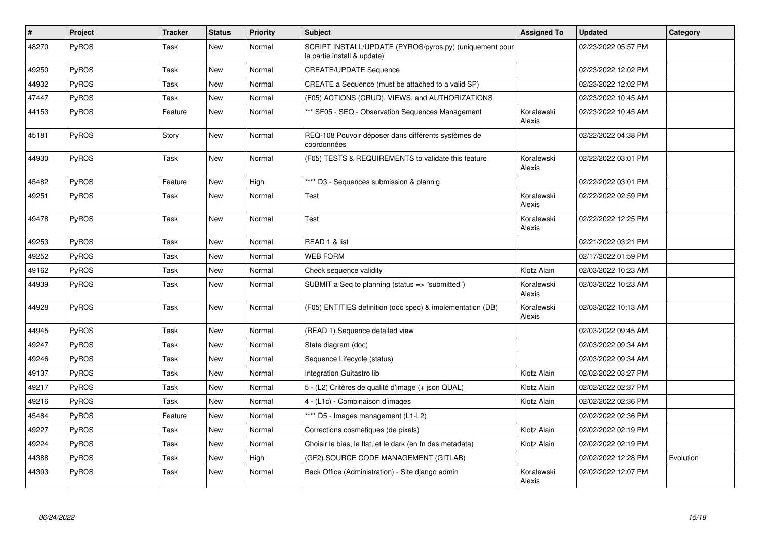| $\pmb{\#}$ | <b>Project</b> | <b>Tracker</b> | <b>Status</b> | <b>Priority</b> | <b>Subject</b>                                                                         | <b>Assigned To</b>   | <b>Updated</b>      | Category  |
|------------|----------------|----------------|---------------|-----------------|----------------------------------------------------------------------------------------|----------------------|---------------------|-----------|
| 48270      | PyROS          | Task           | New           | Normal          | SCRIPT INSTALL/UPDATE (PYROS/pyros.py) (uniquement pour<br>la partie install & update) |                      | 02/23/2022 05:57 PM |           |
| 49250      | <b>PyROS</b>   | Task           | New           | Normal          | <b>CREATE/UPDATE Sequence</b>                                                          |                      | 02/23/2022 12:02 PM |           |
| 44932      | PyROS          | Task           | New           | Normal          | CREATE a Sequence (must be attached to a valid SP)                                     |                      | 02/23/2022 12:02 PM |           |
| 47447      | PyROS          | Task           | New           | Normal          | (F05) ACTIONS (CRUD), VIEWS, and AUTHORIZATIONS                                        |                      | 02/23/2022 10:45 AM |           |
| 44153      | PyROS          | Feature        | New           | Normal          | *** SF05 - SEQ - Observation Sequences Management                                      | Koralewski<br>Alexis | 02/23/2022 10:45 AM |           |
| 45181      | <b>PyROS</b>   | Story          | New           | Normal          | REQ-108 Pouvoir déposer dans différents systèmes de<br>coordonnées                     |                      | 02/22/2022 04:38 PM |           |
| 44930      | PyROS          | Task           | New           | Normal          | (F05) TESTS & REQUIREMENTS to validate this feature                                    | Koralewski<br>Alexis | 02/22/2022 03:01 PM |           |
| 45482      | PyROS          | Feature        | New           | High            | **** D3 - Sequences submission & plannig                                               |                      | 02/22/2022 03:01 PM |           |
| 49251      | <b>PyROS</b>   | Task           | New           | Normal          | Test                                                                                   | Koralewski<br>Alexis | 02/22/2022 02:59 PM |           |
| 49478      | <b>PyROS</b>   | Task           | New           | Normal          | Test                                                                                   | Koralewski<br>Alexis | 02/22/2022 12:25 PM |           |
| 49253      | PyROS          | Task           | New           | Normal          | READ 1 & list                                                                          |                      | 02/21/2022 03:21 PM |           |
| 49252      | <b>PyROS</b>   | Task           | New           | Normal          | <b>WEB FORM</b>                                                                        |                      | 02/17/2022 01:59 PM |           |
| 49162      | PyROS          | Task           | New           | Normal          | Check sequence validity                                                                | Klotz Alain          | 02/03/2022 10:23 AM |           |
| 44939      | <b>PyROS</b>   | Task           | New           | Normal          | SUBMIT a Seq to planning (status => "submitted")                                       | Koralewski<br>Alexis | 02/03/2022 10:23 AM |           |
| 44928      | PyROS          | Task           | New           | Normal          | (F05) ENTITIES definition (doc spec) & implementation (DB)                             | Koralewski<br>Alexis | 02/03/2022 10:13 AM |           |
| 44945      | PyROS          | Task           | New           | Normal          | (READ 1) Sequence detailed view                                                        |                      | 02/03/2022 09:45 AM |           |
| 49247      | <b>PyROS</b>   | Task           | New           | Normal          | State diagram (doc)                                                                    |                      | 02/03/2022 09:34 AM |           |
| 49246      | PyROS          | Task           | <b>New</b>    | Normal          | Sequence Lifecycle (status)                                                            |                      | 02/03/2022 09:34 AM |           |
| 49137      | PyROS          | Task           | New           | Normal          | Integration Guitastro lib                                                              | Klotz Alain          | 02/02/2022 03:27 PM |           |
| 49217      | PyROS          | Task           | <b>New</b>    | Normal          | 5 - (L2) Critères de qualité d'image (+ json QUAL)                                     | Klotz Alain          | 02/02/2022 02:37 PM |           |
| 49216      | PyROS          | Task           | New           | Normal          | 4 - (L1c) - Combinaison d'images                                                       | Klotz Alain          | 02/02/2022 02:36 PM |           |
| 45484      | PyROS          | Feature        | <b>New</b>    | Normal          | **** D5 - Images management (L1-L2)                                                    |                      | 02/02/2022 02:36 PM |           |
| 49227      | PyROS          | Task           | New           | Normal          | Corrections cosmétiques (de pixels)                                                    | Klotz Alain          | 02/02/2022 02:19 PM |           |
| 49224      | <b>PyROS</b>   | Task           | New           | Normal          | Choisir le bias, le flat, et le dark (en fn des metadata)                              | Klotz Alain          | 02/02/2022 02:19 PM |           |
| 44388      | PyROS          | Task           | New           | High            | (GF2) SOURCE CODE MANAGEMENT (GITLAB)                                                  |                      | 02/02/2022 12:28 PM | Evolution |
| 44393      | PyROS          | Task           | New           | Normal          | Back Office (Administration) - Site diango admin                                       | Koralewski<br>Alexis | 02/02/2022 12:07 PM |           |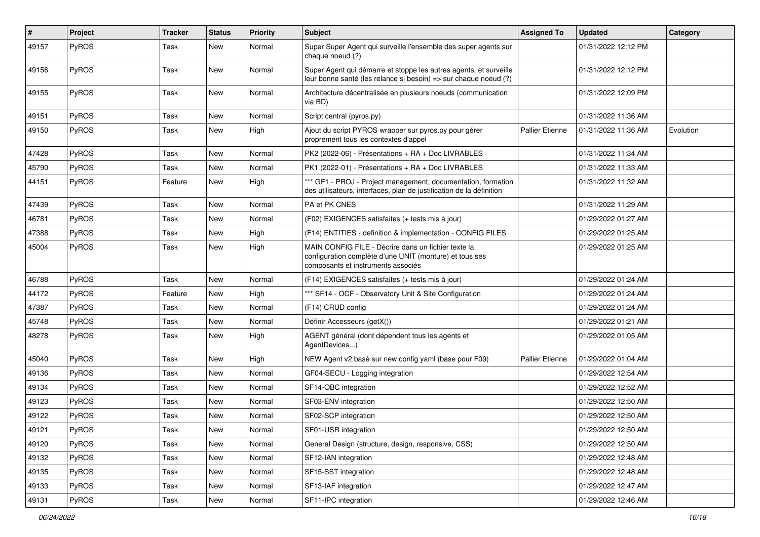| #     | Project      | <b>Tracker</b> | <b>Status</b> | <b>Priority</b> | <b>Subject</b>                                                                                                                                       | <b>Assigned To</b>     | <b>Updated</b>      | Category  |
|-------|--------------|----------------|---------------|-----------------|------------------------------------------------------------------------------------------------------------------------------------------------------|------------------------|---------------------|-----------|
| 49157 | PyROS        | Task           | <b>New</b>    | Normal          | Super Super Agent qui surveille l'ensemble des super agents sur<br>chaque noeud (?)                                                                  |                        | 01/31/2022 12:12 PM |           |
| 49156 | PyROS        | Task           | New           | Normal          | Super Agent qui démarre et stoppe les autres agents, et surveille<br>leur bonne santé (les relance si besoin) => sur chaque noeud (?)                |                        | 01/31/2022 12:12 PM |           |
| 49155 | PyROS        | Task           | <b>New</b>    | Normal          | Architecture décentralisée en plusieurs noeuds (communication<br>via BD)                                                                             |                        | 01/31/2022 12:09 PM |           |
| 49151 | PyROS        | Task           | New           | Normal          | Script central (pyros.py)                                                                                                                            |                        | 01/31/2022 11:36 AM |           |
| 49150 | PyROS        | Task           | New           | High            | Ajout du script PYROS wrapper sur pyros.py pour gérer<br>proprement tous les contextes d'appel                                                       | <b>Pallier Etienne</b> | 01/31/2022 11:36 AM | Evolution |
| 47428 | PyROS        | Task           | New           | Normal          | PK2 (2022-06) - Présentations + RA + Doc LIVRABLES                                                                                                   |                        | 01/31/2022 11:34 AM |           |
| 45790 | PyROS        | Task           | New           | Normal          | PK1 (2022-01) - Présentations + RA + Doc LIVRABLES                                                                                                   |                        | 01/31/2022 11:33 AM |           |
| 44151 | PyROS        | Feature        | New           | High            | *** GF1 - PROJ - Project management, documentation, formation<br>des utilisateurs, interfaces, plan de justification de la définition                |                        | 01/31/2022 11:32 AM |           |
| 47439 | PyROS        | Task           | New           | Normal          | PA et PK CNES                                                                                                                                        |                        | 01/31/2022 11:29 AM |           |
| 46781 | PyROS        | Task           | New           | Normal          | (F02) EXIGENCES satisfaites (+ tests mis à jour)                                                                                                     |                        | 01/29/2022 01:27 AM |           |
| 47388 | PyROS        | Task           | New           | High            | (F14) ENTITIES - definition & implementation - CONFIG FILES                                                                                          |                        | 01/29/2022 01:25 AM |           |
| 45004 | PyROS        | Task           | New           | High            | MAIN CONFIG FILE - Décrire dans un fichier texte la<br>configuration complète d'une UNIT (monture) et tous ses<br>composants et instruments associés |                        | 01/29/2022 01:25 AM |           |
| 46788 | PyROS        | Task           | <b>New</b>    | Normal          | (F14) EXIGENCES satisfaites (+ tests mis à jour)                                                                                                     |                        | 01/29/2022 01:24 AM |           |
| 44172 | PyROS        | Feature        | New           | High            | *** SF14 - OCF - Observatory Unit & Site Configuration                                                                                               |                        | 01/29/2022 01:24 AM |           |
| 47387 | <b>PyROS</b> | Task           | <b>New</b>    | Normal          | (F14) CRUD config                                                                                                                                    |                        | 01/29/2022 01:24 AM |           |
| 45748 | PyROS        | Task           | New           | Normal          | Définir Accesseurs (getX())                                                                                                                          |                        | 01/29/2022 01:21 AM |           |
| 48278 | PyROS        | Task           | New           | High            | AGENT général (dont dépendent tous les agents et<br>AgentDevices)                                                                                    |                        | 01/29/2022 01:05 AM |           |
| 45040 | PyROS        | Task           | New           | High            | NEW Agent v2 basé sur new config yaml (base pour F09)                                                                                                | <b>Pallier Etienne</b> | 01/29/2022 01:04 AM |           |
| 49136 | <b>PyROS</b> | Task           | New           | Normal          | GF04-SECU - Logging integration                                                                                                                      |                        | 01/29/2022 12:54 AM |           |
| 49134 | PyROS        | Task           | New           | Normal          | SF14-OBC integration                                                                                                                                 |                        | 01/29/2022 12:52 AM |           |
| 49123 | PyROS        | Task           | New           | Normal          | SF03-ENV integration                                                                                                                                 |                        | 01/29/2022 12:50 AM |           |
| 49122 | <b>PyROS</b> | Task           | New           | Normal          | SF02-SCP integration                                                                                                                                 |                        | 01/29/2022 12:50 AM |           |
| 49121 | PyROS        | Task           | New           | Normal          | SF01-USR integration                                                                                                                                 |                        | 01/29/2022 12:50 AM |           |
| 49120 | <b>PyROS</b> | Task           | New           | Normal          | General Design (structure, design, responsive, CSS)                                                                                                  |                        | 01/29/2022 12:50 AM |           |
| 49132 | PyROS        | Task           | New           | Normal          | SF12-IAN integration                                                                                                                                 |                        | 01/29/2022 12:48 AM |           |
| 49135 | PyROS        | Task           | New           | Normal          | SF15-SST integration                                                                                                                                 |                        | 01/29/2022 12:48 AM |           |
| 49133 | <b>PyROS</b> | Task           | New           | Normal          | SF13-IAF integration                                                                                                                                 |                        | 01/29/2022 12:47 AM |           |
| 49131 | PyROS        | Task           | New           | Normal          | SF11-IPC integration                                                                                                                                 |                        | 01/29/2022 12:46 AM |           |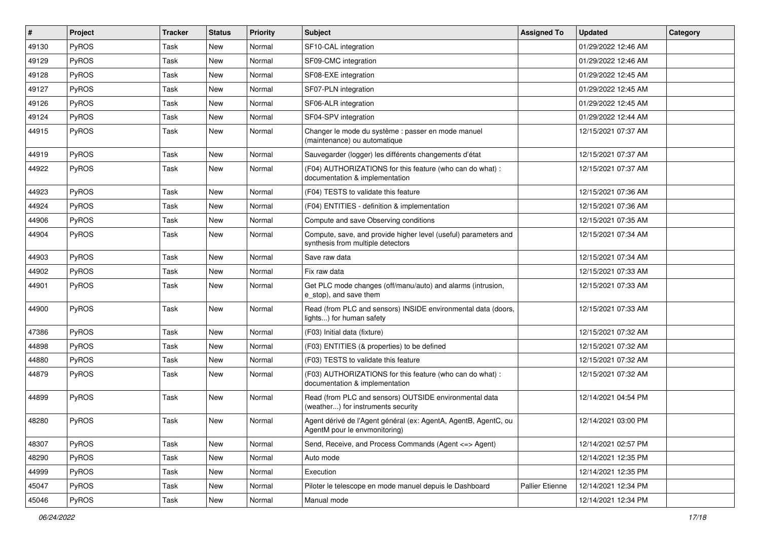| $\vert$ # | Project      | <b>Tracker</b> | <b>Status</b> | <b>Priority</b> | Subject                                                                                              | <b>Assigned To</b>     | <b>Updated</b>      | Category |
|-----------|--------------|----------------|---------------|-----------------|------------------------------------------------------------------------------------------------------|------------------------|---------------------|----------|
| 49130     | PyROS        | Task           | New           | Normal          | SF10-CAL integration                                                                                 |                        | 01/29/2022 12:46 AM |          |
| 49129     | PyROS        | Task           | <b>New</b>    | Normal          | SF09-CMC integration                                                                                 |                        | 01/29/2022 12:46 AM |          |
| 49128     | PyROS        | Task           | New           | Normal          | SF08-EXE integration                                                                                 |                        | 01/29/2022 12:45 AM |          |
| 49127     | PyROS        | Task           | <b>New</b>    | Normal          | SF07-PLN integration                                                                                 |                        | 01/29/2022 12:45 AM |          |
| 49126     | PyROS        | Task           | <b>New</b>    | Normal          | SF06-ALR integration                                                                                 |                        | 01/29/2022 12:45 AM |          |
| 49124     | PyROS        | Task           | <b>New</b>    | Normal          | SF04-SPV integration                                                                                 |                        | 01/29/2022 12:44 AM |          |
| 44915     | PyROS        | Task           | New           | Normal          | Changer le mode du système : passer en mode manuel<br>(maintenance) ou automatique                   |                        | 12/15/2021 07:37 AM |          |
| 44919     | PyROS        | Task           | New           | Normal          | Sauvegarder (logger) les différents changements d'état                                               |                        | 12/15/2021 07:37 AM |          |
| 44922     | PyROS        | Task           | <b>New</b>    | Normal          | (F04) AUTHORIZATIONS for this feature (who can do what) :<br>documentation & implementation          |                        | 12/15/2021 07:37 AM |          |
| 44923     | PyROS        | Task           | <b>New</b>    | Normal          | (F04) TESTS to validate this feature                                                                 |                        | 12/15/2021 07:36 AM |          |
| 44924     | PyROS        | Task           | New           | Normal          | (F04) ENTITIES - definition & implementation                                                         |                        | 12/15/2021 07:36 AM |          |
| 44906     | <b>PyROS</b> | Task           | <b>New</b>    | Normal          | Compute and save Observing conditions                                                                |                        | 12/15/2021 07:35 AM |          |
| 44904     | PyROS        | Task           | New           | Normal          | Compute, save, and provide higher level (useful) parameters and<br>synthesis from multiple detectors |                        | 12/15/2021 07:34 AM |          |
| 44903     | PyROS        | Task           | <b>New</b>    | Normal          | Save raw data                                                                                        |                        | 12/15/2021 07:34 AM |          |
| 44902     | PyROS        | Task           | <b>New</b>    | Normal          | Fix raw data                                                                                         |                        | 12/15/2021 07:33 AM |          |
| 44901     | PyROS        | Task           | New           | Normal          | Get PLC mode changes (off/manu/auto) and alarms (intrusion,<br>e stop), and save them                |                        | 12/15/2021 07:33 AM |          |
| 44900     | PyROS        | Task           | New           | Normal          | Read (from PLC and sensors) INSIDE environmental data (doors,<br>lights) for human safety            |                        | 12/15/2021 07:33 AM |          |
| 47386     | PyROS        | Task           | New           | Normal          | (F03) Initial data (fixture)                                                                         |                        | 12/15/2021 07:32 AM |          |
| 44898     | PyROS        | Task           | <b>New</b>    | Normal          | (F03) ENTITIES (& properties) to be defined                                                          |                        | 12/15/2021 07:32 AM |          |
| 44880     | PyROS        | Task           | <b>New</b>    | Normal          | (F03) TESTS to validate this feature                                                                 |                        | 12/15/2021 07:32 AM |          |
| 44879     | PyROS        | Task           | <b>New</b>    | Normal          | (F03) AUTHORIZATIONS for this feature (who can do what) :<br>documentation & implementation          |                        | 12/15/2021 07:32 AM |          |
| 44899     | PyROS        | Task           | <b>New</b>    | Normal          | Read (from PLC and sensors) OUTSIDE environmental data<br>(weather) for instruments security         |                        | 12/14/2021 04:54 PM |          |
| 48280     | PyROS        | Task           | <b>New</b>    | Normal          | Agent dérivé de l'Agent général (ex: AgentA, AgentB, AgentC, ou<br>AgentM pour le envmonitoring)     |                        | 12/14/2021 03:00 PM |          |
| 48307     | PyROS        | Task           | New           | Normal          | Send, Receive, and Process Commands (Agent <= > Agent)                                               |                        | 12/14/2021 02:57 PM |          |
| 48290     | PyROS        | Task           | New           | Normal          | Auto mode                                                                                            |                        | 12/14/2021 12:35 PM |          |
| 44999     | PyROS        | Task           | New           | Normal          | Execution                                                                                            |                        | 12/14/2021 12:35 PM |          |
| 45047     | PyROS        | Task           | New           | Normal          | Piloter le telescope en mode manuel depuis le Dashboard                                              | <b>Pallier Etienne</b> | 12/14/2021 12:34 PM |          |
| 45046     | PyROS        | Task           | New           | Normal          | Manual mode                                                                                          |                        | 12/14/2021 12:34 PM |          |